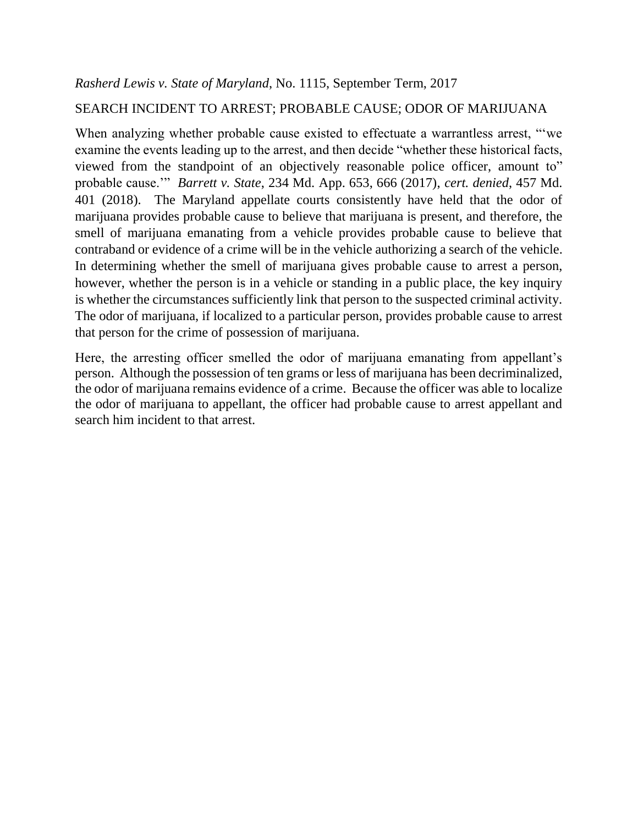# SEARCH INCIDENT TO ARREST; PROBABLE CAUSE; ODOR OF MARIJUANA

When analyzing whether probable cause existed to effectuate a warrantless arrest, ""we examine the events leading up to the arrest, and then decide "whether these historical facts, viewed from the standpoint of an objectively reasonable police officer, amount to" probable cause.'" *Barrett v. State*, 234 Md. App. 653, 666 (2017), *cert. denied*, 457 Md. 401 (2018). The Maryland appellate courts consistently have held that the odor of marijuana provides probable cause to believe that marijuana is present, and therefore, the smell of marijuana emanating from a vehicle provides probable cause to believe that contraband or evidence of a crime will be in the vehicle authorizing a search of the vehicle. In determining whether the smell of marijuana gives probable cause to arrest a person, however, whether the person is in a vehicle or standing in a public place, the key inquiry is whether the circumstances sufficiently link that person to the suspected criminal activity. The odor of marijuana, if localized to a particular person, provides probable cause to arrest that person for the crime of possession of marijuana.

Here, the arresting officer smelled the odor of marijuana emanating from appellant's person. Although the possession of ten grams or less of marijuana has been decriminalized, the odor of marijuana remains evidence of a crime. Because the officer was able to localize the odor of marijuana to appellant, the officer had probable cause to arrest appellant and search him incident to that arrest.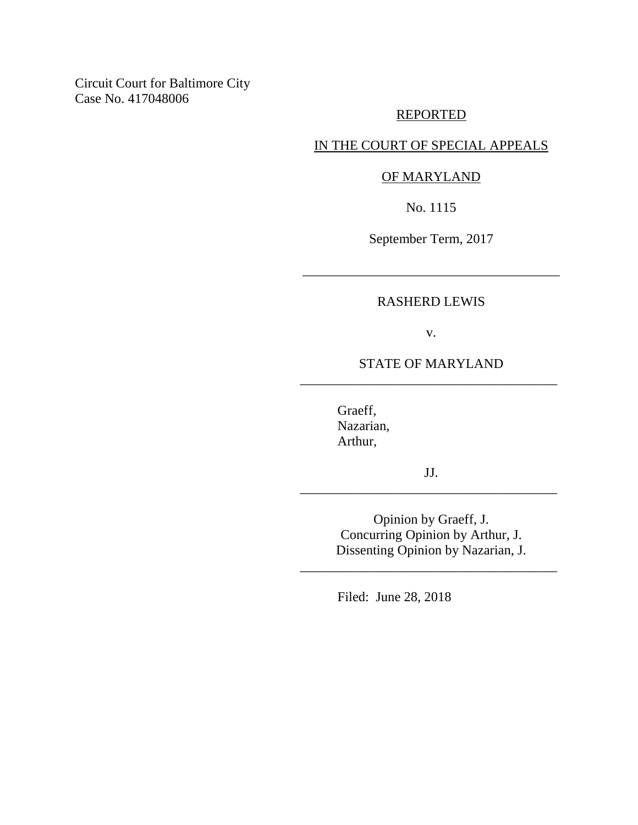Circuit Court for Baltimore City Case No. 417048006

### REPORTED

## IN THE COURT OF SPECIAL APPEALS

### OF MARYLAND

No. 1115

September Term, 2017

\_\_\_\_\_\_\_\_\_\_\_\_\_\_\_\_\_\_\_\_\_\_\_\_\_\_\_\_\_\_\_\_\_\_\_\_\_\_

### RASHERD LEWIS

v.

## STATE OF MARYLAND \_\_\_\_\_\_\_\_\_\_\_\_\_\_\_\_\_\_\_\_\_\_\_\_\_\_\_\_\_\_\_\_\_\_\_\_\_\_

Graeff, Nazarian, Arthur,

JJ. \_\_\_\_\_\_\_\_\_\_\_\_\_\_\_\_\_\_\_\_\_\_\_\_\_\_\_\_\_\_\_\_\_\_\_\_\_\_

> Opinion by Graeff, J. Concurring Opinion by Arthur, J. Dissenting Opinion by Nazarian, J.

\_\_\_\_\_\_\_\_\_\_\_\_\_\_\_\_\_\_\_\_\_\_\_\_\_\_\_\_\_\_\_\_\_\_\_\_\_\_

Filed: June 28, 2018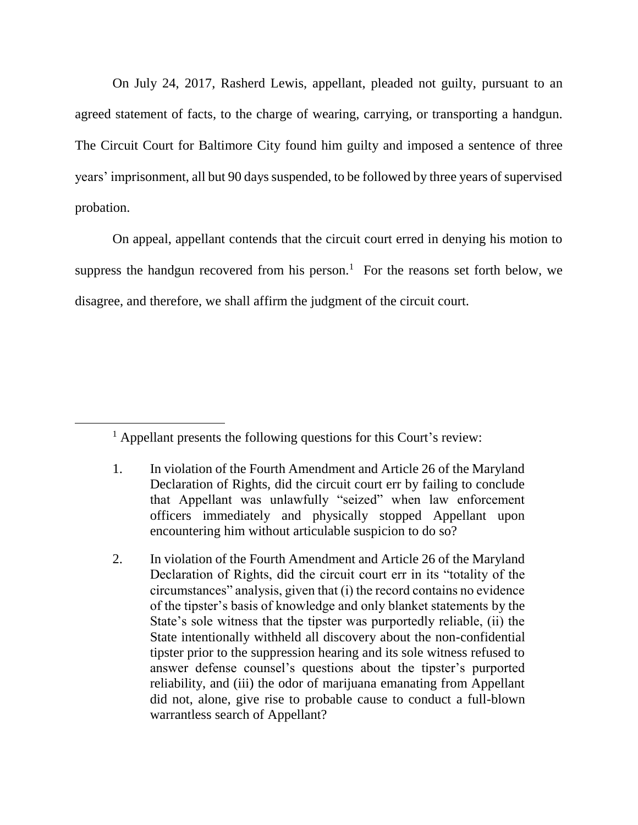On July 24, 2017, Rasherd Lewis, appellant, pleaded not guilty, pursuant to an agreed statement of facts, to the charge of wearing, carrying, or transporting a handgun. The Circuit Court for Baltimore City found him guilty and imposed a sentence of three years' imprisonment, all but 90 days suspended, to be followed by three years of supervised probation.

On appeal, appellant contends that the circuit court erred in denying his motion to suppress the handgun recovered from his person.<sup>1</sup> For the reasons set forth below, we disagree, and therefore, we shall affirm the judgment of the circuit court.

2. In violation of the Fourth Amendment and Article 26 of the Maryland Declaration of Rights, did the circuit court err in its "totality of the circumstances" analysis, given that (i) the record contains no evidence of the tipster's basis of knowledge and only blanket statements by the State's sole witness that the tipster was purportedly reliable, (ii) the State intentionally withheld all discovery about the non-confidential tipster prior to the suppression hearing and its sole witness refused to answer defense counsel's questions about the tipster's purported reliability, and (iii) the odor of marijuana emanating from Appellant did not, alone, give rise to probable cause to conduct a full-blown warrantless search of Appellant?

<sup>&</sup>lt;sup>1</sup> Appellant presents the following questions for this Court's review:

<sup>1.</sup> In violation of the Fourth Amendment and Article 26 of the Maryland Declaration of Rights, did the circuit court err by failing to conclude that Appellant was unlawfully "seized" when law enforcement officers immediately and physically stopped Appellant upon encountering him without articulable suspicion to do so?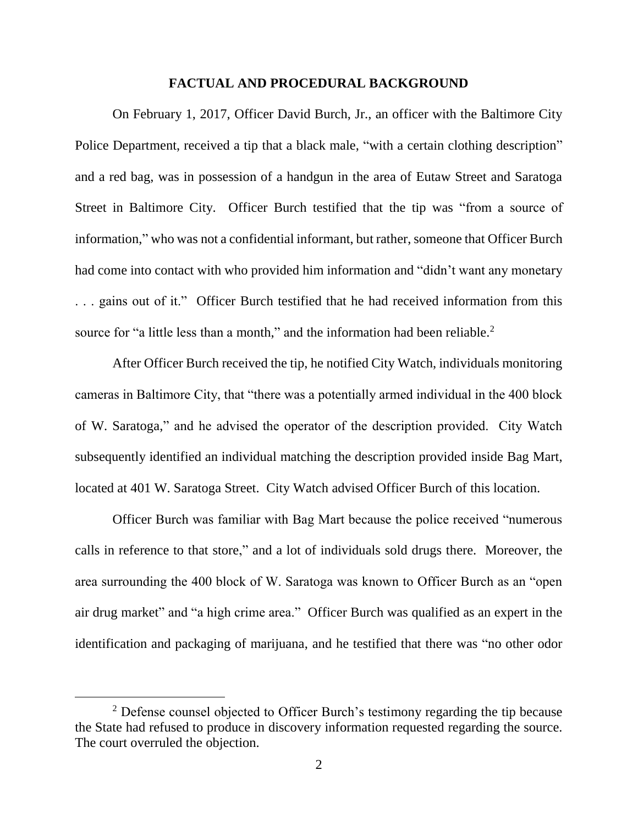#### **FACTUAL AND PROCEDURAL BACKGROUND**

On February 1, 2017, Officer David Burch, Jr., an officer with the Baltimore City Police Department, received a tip that a black male, "with a certain clothing description" and a red bag, was in possession of a handgun in the area of Eutaw Street and Saratoga Street in Baltimore City. Officer Burch testified that the tip was "from a source of information," who was not a confidential informant, but rather, someone that Officer Burch had come into contact with who provided him information and "didn't want any monetary . . . gains out of it."Officer Burch testified that he had received information from this source for "a little less than a month," and the information had been reliable. $2$ 

After Officer Burch received the tip, he notified City Watch, individuals monitoring cameras in Baltimore City, that "there was a potentially armed individual in the 400 block of W. Saratoga," and he advised the operator of the description provided. City Watch subsequently identified an individual matching the description provided inside Bag Mart, located at 401 W. Saratoga Street. City Watch advised Officer Burch of this location.

Officer Burch was familiar with Bag Mart because the police received "numerous calls in reference to that store," and a lot of individuals sold drugs there. Moreover, the area surrounding the 400 block of W. Saratoga was known to Officer Burch as an "open air drug market" and "a high crime area." Officer Burch was qualified as an expert in the identification and packaging of marijuana, and he testified that there was "no other odor

<sup>&</sup>lt;sup>2</sup> Defense counsel objected to Officer Burch's testimony regarding the tip because the State had refused to produce in discovery information requested regarding the source. The court overruled the objection.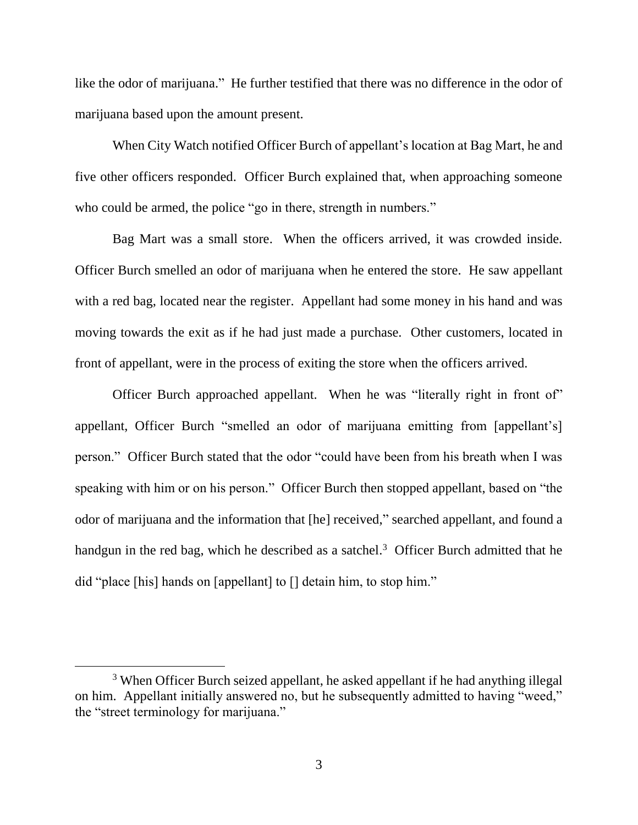like the odor of marijuana." He further testified that there was no difference in the odor of marijuana based upon the amount present.

When City Watch notified Officer Burch of appellant's location at Bag Mart, he and five other officers responded. Officer Burch explained that, when approaching someone who could be armed, the police "go in there, strength in numbers."

Bag Mart was a small store. When the officers arrived, it was crowded inside. Officer Burch smelled an odor of marijuana when he entered the store. He saw appellant with a red bag, located near the register. Appellant had some money in his hand and was moving towards the exit as if he had just made a purchase. Other customers, located in front of appellant, were in the process of exiting the store when the officers arrived.

Officer Burch approached appellant. When he was "literally right in front of" appellant, Officer Burch "smelled an odor of marijuana emitting from [appellant's] person." Officer Burch stated that the odor "could have been from his breath when I was speaking with him or on his person." Officer Burch then stopped appellant, based on "the odor of marijuana and the information that [he] received," searched appellant, and found a handgun in the red bag, which he described as a satchel.<sup>3</sup> Officer Burch admitted that he did "place [his] hands on [appellant] to [] detain him, to stop him."

<sup>&</sup>lt;sup>3</sup> When Officer Burch seized appellant, he asked appellant if he had anything illegal on him. Appellant initially answered no, but he subsequently admitted to having "weed," the "street terminology for marijuana."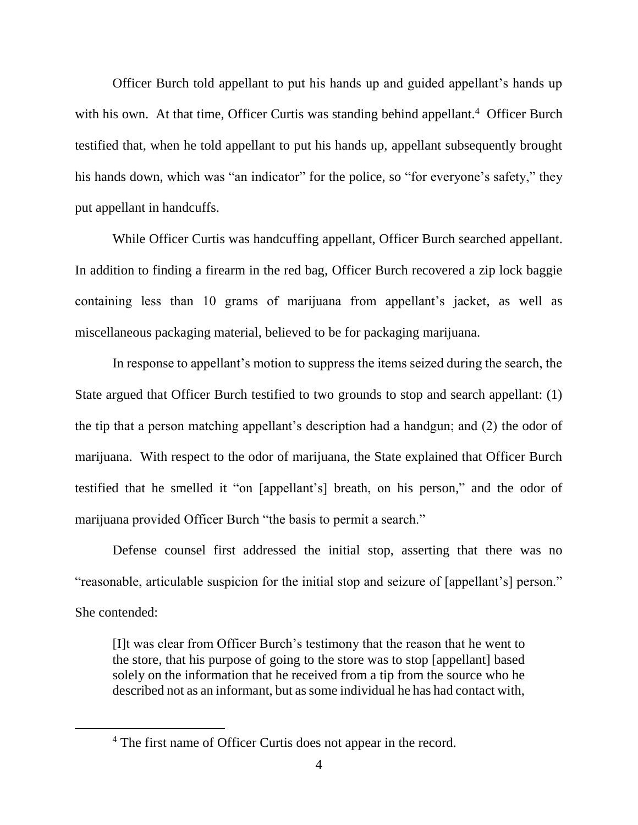Officer Burch told appellant to put his hands up and guided appellant's hands up with his own. At that time, Officer Curtis was standing behind appellant.<sup>4</sup> Officer Burch testified that, when he told appellant to put his hands up, appellant subsequently brought his hands down, which was "an indicator" for the police, so "for everyone's safety," they put appellant in handcuffs.

While Officer Curtis was handcuffing appellant, Officer Burch searched appellant. In addition to finding a firearm in the red bag, Officer Burch recovered a zip lock baggie containing less than 10 grams of marijuana from appellant's jacket, as well as miscellaneous packaging material, believed to be for packaging marijuana.

In response to appellant's motion to suppress the items seized during the search, the State argued that Officer Burch testified to two grounds to stop and search appellant: (1) the tip that a person matching appellant's description had a handgun; and (2) the odor of marijuana. With respect to the odor of marijuana, the State explained that Officer Burch testified that he smelled it "on [appellant's] breath, on his person," and the odor of marijuana provided Officer Burch "the basis to permit a search."

Defense counsel first addressed the initial stop, asserting that there was no "reasonable, articulable suspicion for the initial stop and seizure of [appellant's] person." She contended:

[I]t was clear from Officer Burch's testimony that the reason that he went to the store, that his purpose of going to the store was to stop [appellant] based solely on the information that he received from a tip from the source who he described not as an informant, but as some individual he has had contact with,

<sup>4</sup> The first name of Officer Curtis does not appear in the record.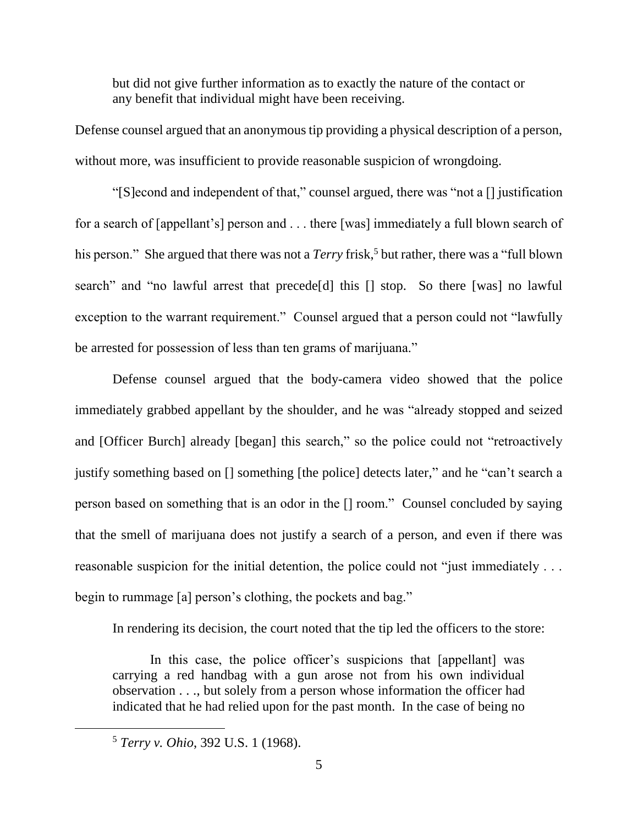but did not give further information as to exactly the nature of the contact or any benefit that individual might have been receiving.

Defense counsel argued that an anonymous tip providing a physical description of a person, without more, was insufficient to provide reasonable suspicion of wrongdoing.

"[S]econd and independent of that," counsel argued, there was "not a [] justification for a search of [appellant's] person and . . . there [was] immediately a full blown search of his person." She argued that there was not a *Terry* frisk,<sup>5</sup> but rather, there was a "full blown" search" and "no lawful arrest that precede[d] this [] stop. So there [was] no lawful exception to the warrant requirement." Counsel argued that a person could not "lawfully be arrested for possession of less than ten grams of marijuana."

Defense counsel argued that the body-camera video showed that the police immediately grabbed appellant by the shoulder, and he was "already stopped and seized and [Officer Burch] already [began] this search," so the police could not "retroactively justify something based on [] something [the police] detects later," and he "can't search a person based on something that is an odor in the [] room." Counsel concluded by saying that the smell of marijuana does not justify a search of a person, and even if there was reasonable suspicion for the initial detention, the police could not "just immediately . . . begin to rummage [a] person's clothing, the pockets and bag."

In rendering its decision, the court noted that the tip led the officers to the store:

In this case, the police officer's suspicions that [appellant] was carrying a red handbag with a gun arose not from his own individual observation . . ., but solely from a person whose information the officer had indicated that he had relied upon for the past month. In the case of being no

<sup>5</sup> *Terry v. Ohio*, 392 U.S. 1 (1968).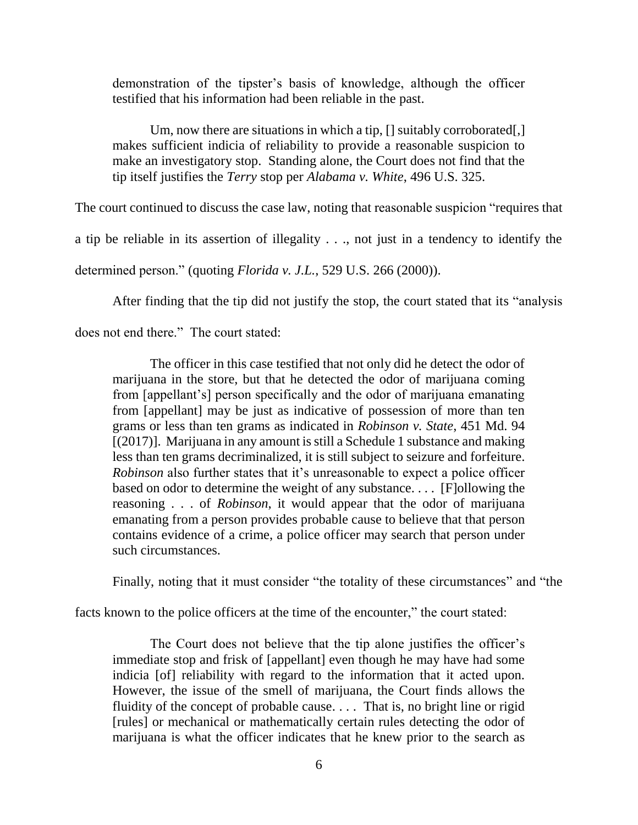demonstration of the tipster's basis of knowledge, although the officer testified that his information had been reliable in the past.

Um, now there are situations in which a tip,  $[]$  suitably corroborated $[]$ makes sufficient indicia of reliability to provide a reasonable suspicion to make an investigatory stop. Standing alone, the Court does not find that the tip itself justifies the *Terry* stop per *Alabama v. White*, 496 U.S. 325.

The court continued to discuss the case law, noting that reasonable suspicion "requires that

a tip be reliable in its assertion of illegality . . ., not just in a tendency to identify the

determined person." (quoting *Florida v. J.L.*, 529 U.S. 266 (2000)).

After finding that the tip did not justify the stop, the court stated that its "analysis

does not end there." The court stated:

The officer in this case testified that not only did he detect the odor of marijuana in the store, but that he detected the odor of marijuana coming from [appellant's] person specifically and the odor of marijuana emanating from [appellant] may be just as indicative of possession of more than ten grams or less than ten grams as indicated in *Robinson v. State*, 451 Md. 94 [(2017)]. Marijuana in any amount is still a Schedule 1 substance and making less than ten grams decriminalized, it is still subject to seizure and forfeiture. *Robinson* also further states that it's unreasonable to expect a police officer based on odor to determine the weight of any substance. . . . [F]ollowing the reasoning . . . of *Robinson*, it would appear that the odor of marijuana emanating from a person provides probable cause to believe that that person contains evidence of a crime, a police officer may search that person under such circumstances.

Finally, noting that it must consider "the totality of these circumstances" and "the

facts known to the police officers at the time of the encounter," the court stated:

The Court does not believe that the tip alone justifies the officer's immediate stop and frisk of [appellant] even though he may have had some indicia [of] reliability with regard to the information that it acted upon. However, the issue of the smell of marijuana, the Court finds allows the fluidity of the concept of probable cause. . . . That is, no bright line or rigid [rules] or mechanical or mathematically certain rules detecting the odor of marijuana is what the officer indicates that he knew prior to the search as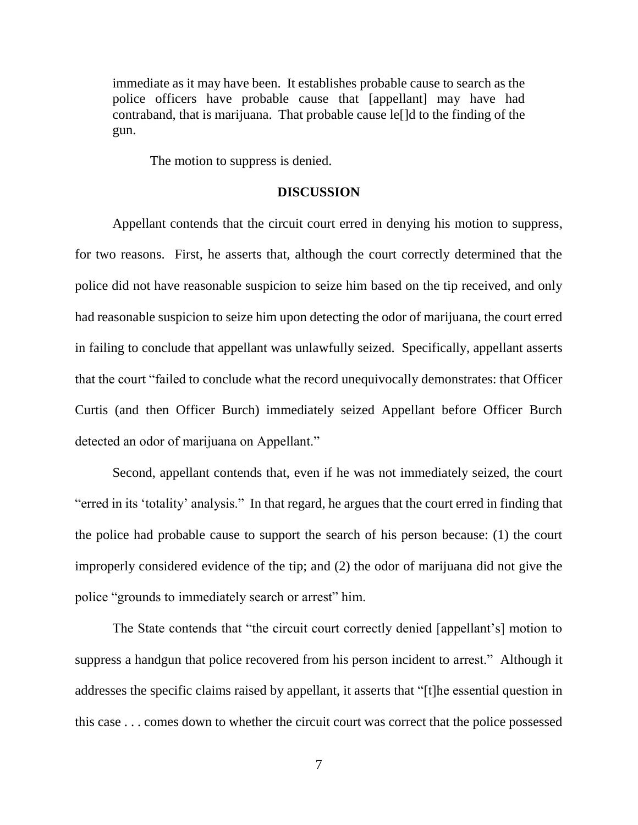immediate as it may have been. It establishes probable cause to search as the police officers have probable cause that [appellant] may have had contraband, that is marijuana. That probable cause le[]d to the finding of the gun.

The motion to suppress is denied.

#### **DISCUSSION**

Appellant contends that the circuit court erred in denying his motion to suppress, for two reasons. First, he asserts that, although the court correctly determined that the police did not have reasonable suspicion to seize him based on the tip received, and only had reasonable suspicion to seize him upon detecting the odor of marijuana, the court erred in failing to conclude that appellant was unlawfully seized. Specifically, appellant asserts that the court "failed to conclude what the record unequivocally demonstrates: that Officer Curtis (and then Officer Burch) immediately seized Appellant before Officer Burch detected an odor of marijuana on Appellant."

Second, appellant contends that, even if he was not immediately seized, the court "erred in its 'totality' analysis." In that regard, he argues that the court erred in finding that the police had probable cause to support the search of his person because: (1) the court improperly considered evidence of the tip; and (2) the odor of marijuana did not give the police "grounds to immediately search or arrest" him.

The State contends that "the circuit court correctly denied [appellant's] motion to suppress a handgun that police recovered from his person incident to arrest." Although it addresses the specific claims raised by appellant, it asserts that "[t]he essential question in this case . . . comes down to whether the circuit court was correct that the police possessed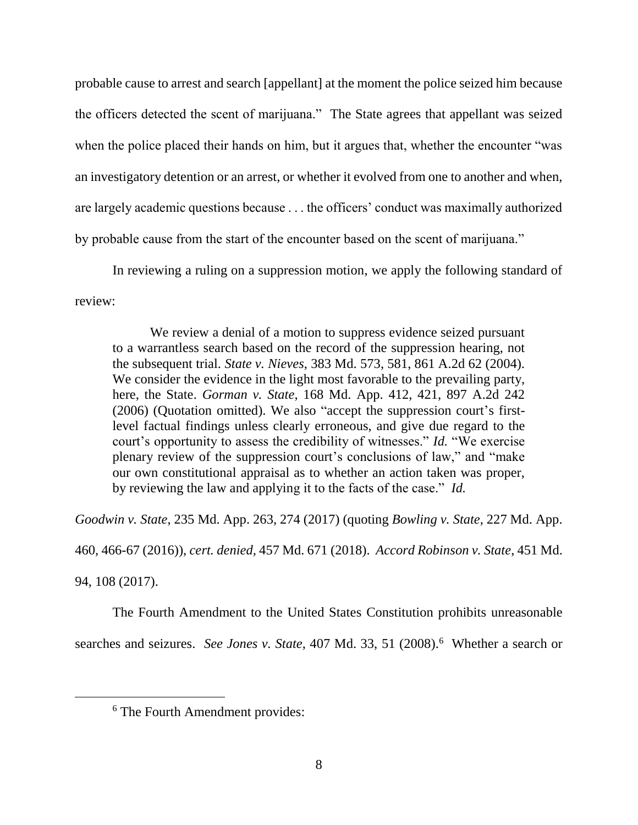probable cause to arrest and search [appellant] at the moment the police seized him because the officers detected the scent of marijuana." The State agrees that appellant was seized when the police placed their hands on him, but it argues that, whether the encounter "was an investigatory detention or an arrest, or whether it evolved from one to another and when, are largely academic questions because . . . the officers' conduct was maximally authorized by probable cause from the start of the encounter based on the scent of marijuana."

In reviewing a ruling on a suppression motion, we apply the following standard of review:

We review a denial of a motion to suppress evidence seized pursuant to a warrantless search based on the record of the suppression hearing, not the subsequent trial. *State v. Nieves*, 383 Md. 573, 581, 861 A.2d 62 (2004). We consider the evidence in the light most favorable to the prevailing party, here, the State. *Gorman v. State*, 168 Md. App. 412, 421, 897 A.2d 242 (2006) (Quotation omitted). We also "accept the suppression court's firstlevel factual findings unless clearly erroneous, and give due regard to the court's opportunity to assess the credibility of witnesses." *Id.* "We exercise plenary review of the suppression court's conclusions of law," and "make our own constitutional appraisal as to whether an action taken was proper, by reviewing the law and applying it to the facts of the case." *Id.*

*Goodwin v. State*, 235 Md. App. 263, 274 (2017) (quoting *Bowling v. State*, 227 Md. App.

460, 466-67 (2016)), *cert. denied,* 457 Md. 671 (2018). *Accord Robinson v. State*, 451 Md.

94, 108 (2017).

 $\overline{a}$ 

The Fourth Amendment to the United States Constitution prohibits unreasonable

searches and seizures. *See Jones v. State*, 407 Md. 33, 51 (2008).<sup>6</sup> Whether a search or

<sup>&</sup>lt;sup>6</sup> The Fourth Amendment provides: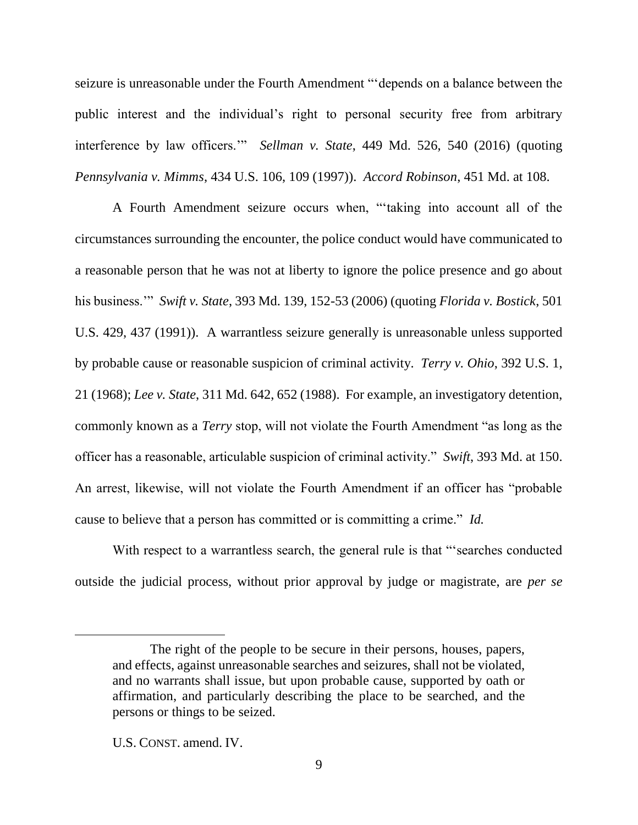seizure is unreasonable under the Fourth Amendment "'depends on a balance between the public interest and the individual's right to personal security free from arbitrary interference by law officers.'" *Sellman v. State*, 449 Md. 526, 540 (2016) (quoting *Pennsylvania v. Mimms*, 434 U.S. 106, 109 (1997)). *Accord Robinson*, 451 Md. at 108.

A Fourth Amendment seizure occurs when, "'taking into account all of the circumstances surrounding the encounter, the police conduct would have communicated to a reasonable person that he was not at liberty to ignore the police presence and go about his business.'" *Swift v. State*, 393 Md. 139, 152-53 (2006) (quoting *Florida v. Bostick*, 501 U.S. 429, 437 (1991)). A warrantless seizure generally is unreasonable unless supported by probable cause or reasonable suspicion of criminal activity. *Terry v. Ohio*, 392 U.S. 1, 21 (1968); *Lee v. State*, 311 Md. 642, 652 (1988). For example, an investigatory detention, commonly known as a *Terry* stop, will not violate the Fourth Amendment "as long as the officer has a reasonable, articulable suspicion of criminal activity." *Swift*, 393 Md. at 150. An arrest, likewise, will not violate the Fourth Amendment if an officer has "probable cause to believe that a person has committed or is committing a crime." *Id.*

With respect to a warrantless search, the general rule is that "'searches conducted outside the judicial process, without prior approval by judge or magistrate, are *per se*

The right of the people to be secure in their persons, houses, papers, and effects, against unreasonable searches and seizures, shall not be violated, and no warrants shall issue, but upon probable cause, supported by oath or affirmation, and particularly describing the place to be searched, and the persons or things to be seized.

U.S. CONST. amend. IV.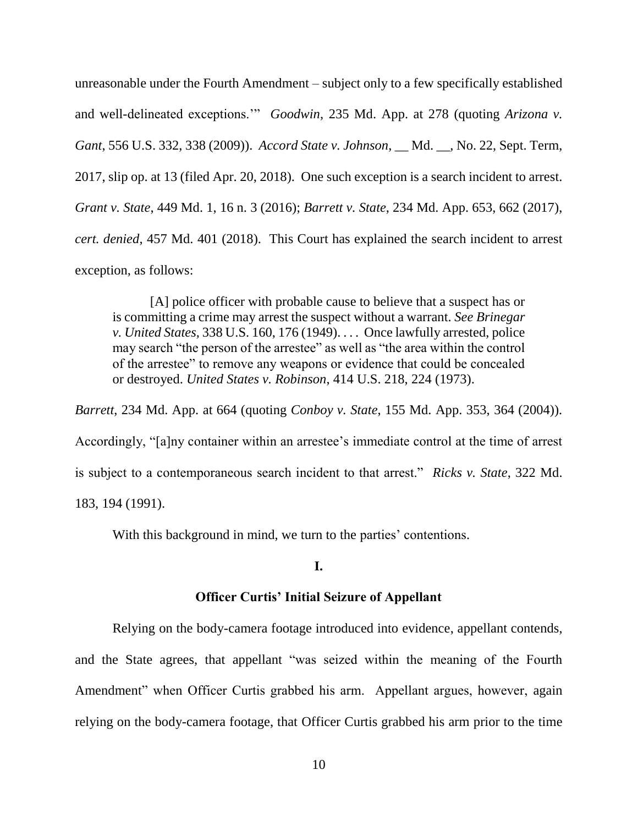unreasonable under the Fourth Amendment – subject only to a few specifically established and well-delineated exceptions.'" *Goodwin*, 235 Md. App. at 278 (quoting *Arizona v. Gant*, 556 U.S. 332, 338 (2009)). *Accord State v. Johnson*, \_\_ Md. \_\_, No. 22, Sept. Term, 2017, slip op. at 13 (filed Apr. 20, 2018). One such exception is a search incident to arrest. *Grant v. State*, 449 Md. 1, 16 n. 3 (2016); *Barrett v. State*, 234 Md. App. 653, 662 (2017), *cert. denied*, 457 Md. 401 (2018). This Court has explained the search incident to arrest exception, as follows:

[A] police officer with probable cause to believe that a suspect has or is committing a crime may arrest the suspect without a warrant. *See Brinegar v. United States,* 338 U.S. 160, 176 (1949). . . . Once lawfully arrested, police may search "the person of the arrestee" as well as "the area within the control of the arrestee" to remove any weapons or evidence that could be concealed or destroyed. *United States v. Robinson*, 414 U.S. 218, 224 (1973).

*Barrett*, 234 Md. App. at 664 (quoting *Conboy v. State*, 155 Md. App. 353, 364 (2004)). Accordingly, "[a]ny container within an arrestee's immediate control at the time of arrest is subject to a contemporaneous search incident to that arrest." *Ricks v. State*, 322 Md. 183, 194 (1991).

With this background in mind, we turn to the parties' contentions.

### **I.**

#### **Officer Curtis' Initial Seizure of Appellant**

Relying on the body-camera footage introduced into evidence, appellant contends, and the State agrees, that appellant "was seized within the meaning of the Fourth Amendment" when Officer Curtis grabbed his arm. Appellant argues, however, again relying on the body-camera footage, that Officer Curtis grabbed his arm prior to the time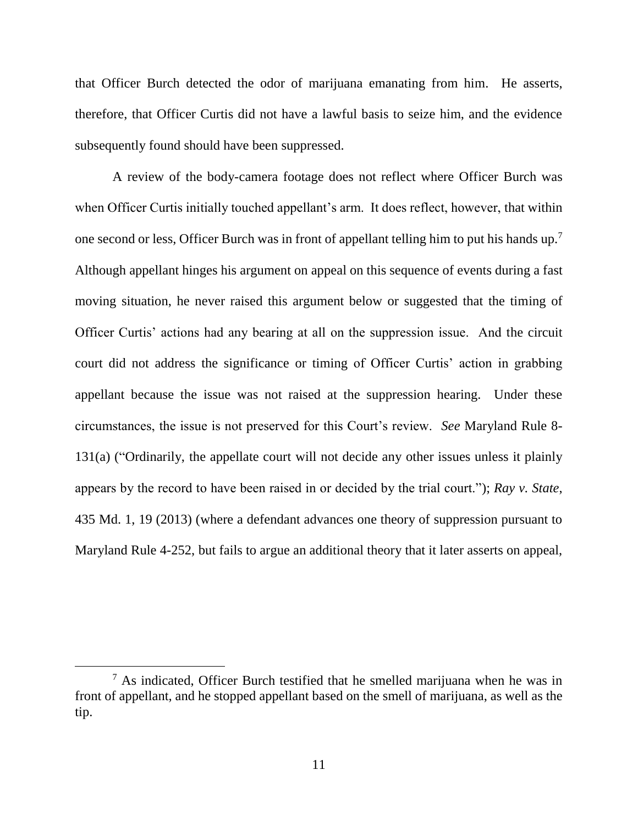that Officer Burch detected the odor of marijuana emanating from him. He asserts, therefore, that Officer Curtis did not have a lawful basis to seize him, and the evidence subsequently found should have been suppressed.

A review of the body-camera footage does not reflect where Officer Burch was when Officer Curtis initially touched appellant's arm. It does reflect, however, that within one second or less, Officer Burch was in front of appellant telling him to put his hands up.<sup>7</sup> Although appellant hinges his argument on appeal on this sequence of events during a fast moving situation, he never raised this argument below or suggested that the timing of Officer Curtis' actions had any bearing at all on the suppression issue. And the circuit court did not address the significance or timing of Officer Curtis' action in grabbing appellant because the issue was not raised at the suppression hearing. Under these circumstances, the issue is not preserved for this Court's review. *See* Maryland Rule 8- 131(a) ("Ordinarily, the appellate court will not decide any other issues unless it plainly appears by the record to have been raised in or decided by the trial court."); *Ray v. State*, 435 Md. 1, 19 (2013) (where a defendant advances one theory of suppression pursuant to Maryland Rule 4-252, but fails to argue an additional theory that it later asserts on appeal,

 $<sup>7</sup>$  As indicated, Officer Burch testified that he smelled marijuana when he was in</sup> front of appellant, and he stopped appellant based on the smell of marijuana, as well as the tip.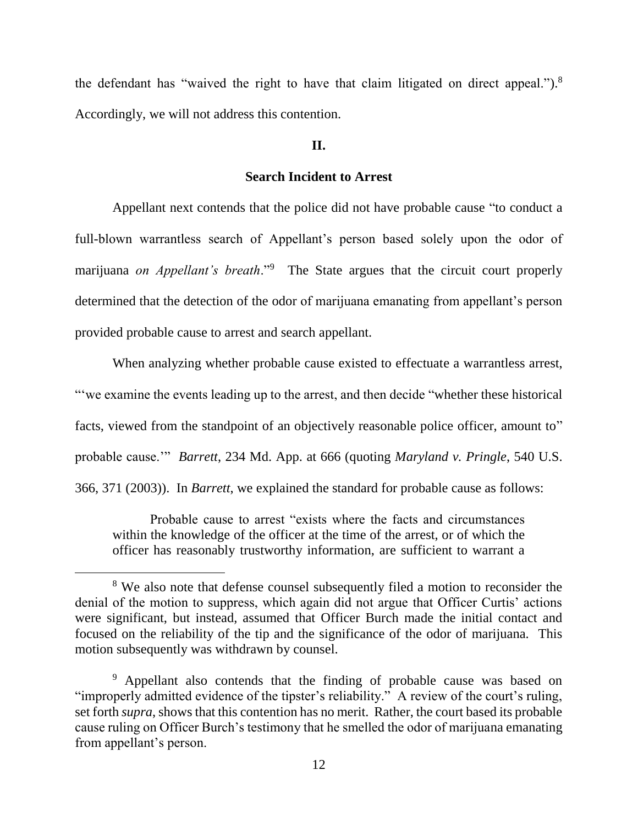the defendant has "waived the right to have that claim litigated on direct appeal.").<sup>8</sup> Accordingly, we will not address this contention.

### **II.**

### **Search Incident to Arrest**

Appellant next contends that the police did not have probable cause "to conduct a full-blown warrantless search of Appellant's person based solely upon the odor of marijuana *on Appellant's breath*."<sup>9</sup> The State argues that the circuit court properly determined that the detection of the odor of marijuana emanating from appellant's person provided probable cause to arrest and search appellant.

When analyzing whether probable cause existed to effectuate a warrantless arrest, "'we examine the events leading up to the arrest, and then decide "whether these historical facts, viewed from the standpoint of an objectively reasonable police officer, amount to" probable cause.'" *Barrett*, 234 Md. App. at 666 (quoting *Maryland v. Pringle*, 540 U.S. 366, 371 (2003)). In *Barrett*, we explained the standard for probable cause as follows:

Probable cause to arrest "exists where the facts and circumstances within the knowledge of the officer at the time of the arrest, or of which the officer has reasonably trustworthy information, are sufficient to warrant a

<sup>&</sup>lt;sup>8</sup> We also note that defense counsel subsequently filed a motion to reconsider the denial of the motion to suppress, which again did not argue that Officer Curtis' actions were significant, but instead, assumed that Officer Burch made the initial contact and focused on the reliability of the tip and the significance of the odor of marijuana. This motion subsequently was withdrawn by counsel.

<sup>9</sup> Appellant also contends that the finding of probable cause was based on "improperly admitted evidence of the tipster's reliability." A review of the court's ruling, set forth *supra*, shows that this contention has no merit. Rather, the court based its probable cause ruling on Officer Burch's testimony that he smelled the odor of marijuana emanating from appellant's person.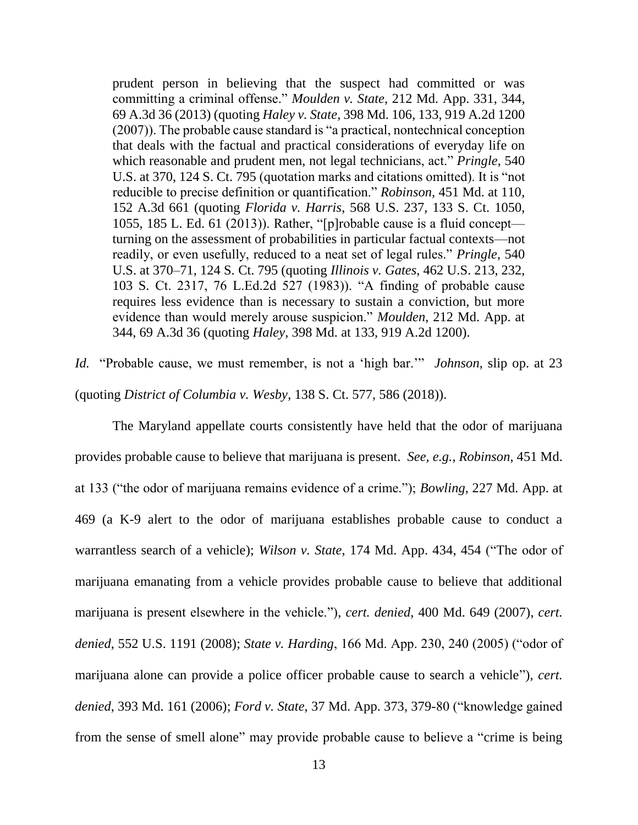prudent person in believing that the suspect had committed or was committing a criminal offense." *Moulden v. State*, 212 Md. App. 331, 344, 69 A.3d 36 (2013) (quoting *Haley v. State*, 398 Md. 106, 133, 919 A.2d 1200 (2007)). The probable cause standard is "a practical, nontechnical conception that deals with the factual and practical considerations of everyday life on which reasonable and prudent men, not legal technicians, act." *Pringle*, 540 U.S. at 370, 124 S. Ct. 795 (quotation marks and citations omitted). It is "not reducible to precise definition or quantification." *Robinson,* 451 Md. at 110, 152 A.3d 661 (quoting *Florida v. Harris*, 568 U.S. 237, 133 S. Ct. 1050, 1055, 185 L. Ed. 61 (2013)). Rather, "[p]robable cause is a fluid concept turning on the assessment of probabilities in particular factual contexts—not readily, or even usefully, reduced to a neat set of legal rules." *Pringle*, 540 U.S. at 370–71, 124 S. Ct. 795 (quoting *Illinois v. Gates*, 462 U.S. 213, 232, 103 S. Ct. 2317, 76 L.Ed.2d 527 (1983)). "A finding of probable cause requires less evidence than is necessary to sustain a conviction, but more evidence than would merely arouse suspicion." *Moulden*, 212 Md. App. at 344, 69 A.3d 36 (quoting *Haley*, 398 Md. at 133, 919 A.2d 1200).

*Id.* "Probable cause, we must remember, is not a 'high bar.'" *Johnson*, slip op. at 23 (quoting *District of Columbia v. Wesby*, 138 S. Ct. 577, 586 (2018)).

The Maryland appellate courts consistently have held that the odor of marijuana provides probable cause to believe that marijuana is present. *See, e.g.*, *Robinson*, 451 Md. at 133 ("the odor of marijuana remains evidence of a crime."); *Bowling*, 227 Md. App. at 469 (a K-9 alert to the odor of marijuana establishes probable cause to conduct a warrantless search of a vehicle); *Wilson v. State*, 174 Md. App. 434, 454 ("The odor of marijuana emanating from a vehicle provides probable cause to believe that additional marijuana is present elsewhere in the vehicle."), *cert. denied*, 400 Md. 649 (2007), *cert. denied*, 552 U.S. 1191 (2008); *State v. Harding*, 166 Md. App. 230, 240 (2005) ("odor of marijuana alone can provide a police officer probable cause to search a vehicle"), *cert. denied*, 393 Md. 161 (2006); *Ford v. State*, 37 Md. App. 373, 379-80 ("knowledge gained from the sense of smell alone" may provide probable cause to believe a "crime is being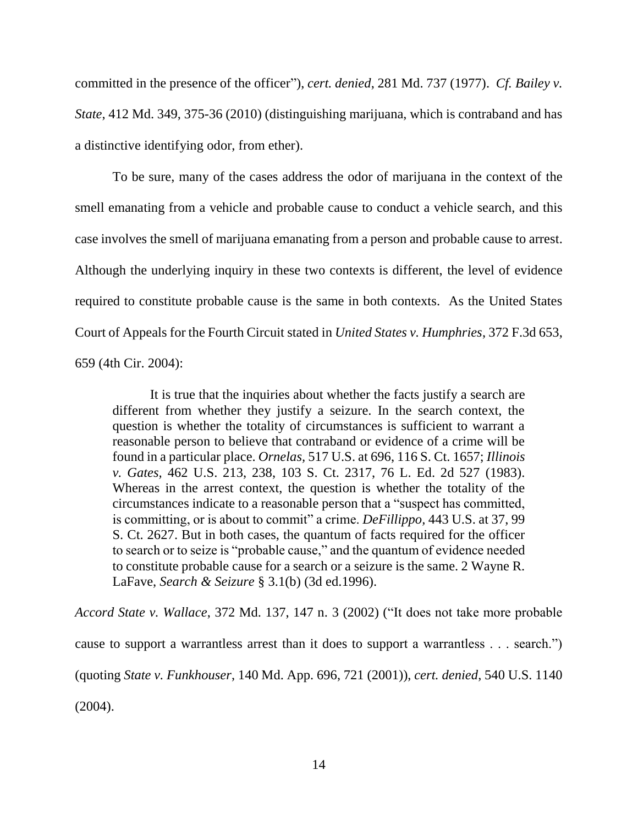committed in the presence of the officer"), *cert. denied*, 281 Md. 737 (1977). *Cf. Bailey v. State*, 412 Md. 349, 375-36 (2010) (distinguishing marijuana, which is contraband and has a distinctive identifying odor, from ether).

To be sure, many of the cases address the odor of marijuana in the context of the smell emanating from a vehicle and probable cause to conduct a vehicle search, and this case involves the smell of marijuana emanating from a person and probable cause to arrest. Although the underlying inquiry in these two contexts is different, the level of evidence required to constitute probable cause is the same in both contexts. As the United States Court of Appeals for the Fourth Circuit stated in *United States v. Humphries*, 372 F.3d 653, 659 (4th Cir. 2004):

It is true that the inquiries about whether the facts justify a search are different from whether they justify a seizure. In the search context, the question is whether the totality of circumstances is sufficient to warrant a reasonable person to believe that contraband or evidence of a crime will be found in a particular place. *Ornelas,* 517 U.S. at 696, 116 S. Ct. 1657; *Illinois v. Gates,* 462 U.S. 213, 238, 103 S. Ct. 2317, 76 L. Ed. 2d 527 (1983). Whereas in the arrest context, the question is whether the totality of the circumstances indicate to a reasonable person that a "suspect has committed, is committing, or is about to commit" a crime. *DeFillippo,* 443 U.S. at 37, 99 S. Ct. 2627. But in both cases, the quantum of facts required for the officer to search or to seize is "probable cause," and the quantum of evidence needed to constitute probable cause for a search or a seizure is the same. 2 Wayne R. LaFave, *Search & Seizure* § 3.1(b) (3d ed.1996).

*Accord State v. Wallace*, 372 Md. 137, 147 n. 3 (2002) ("It does not take more probable cause to support a warrantless arrest than it does to support a warrantless . . . search.") (quoting *State v. Funkhouser*, 140 Md. App. 696, 721 (2001)), *cert. denied*, 540 U.S. 1140 (2004).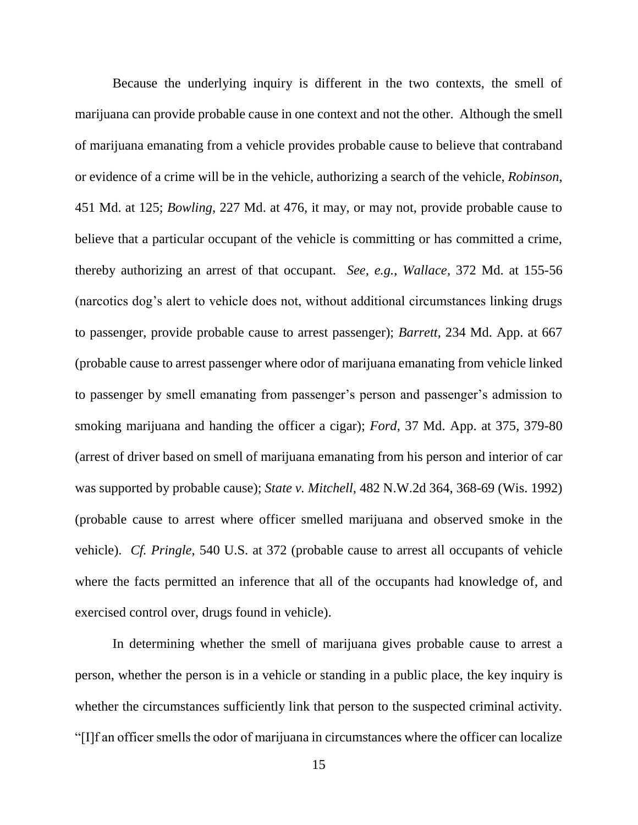Because the underlying inquiry is different in the two contexts, the smell of marijuana can provide probable cause in one context and not the other. Although the smell of marijuana emanating from a vehicle provides probable cause to believe that contraband or evidence of a crime will be in the vehicle, authorizing a search of the vehicle, *Robinson*, 451 Md. at 125; *Bowling*, 227 Md. at 476, it may, or may not, provide probable cause to believe that a particular occupant of the vehicle is committing or has committed a crime, thereby authorizing an arrest of that occupant. *See, e.g.*, *Wallace*, 372 Md. at 155-56 (narcotics dog's alert to vehicle does not, without additional circumstances linking drugs to passenger, provide probable cause to arrest passenger); *Barrett*, 234 Md. App. at 667 (probable cause to arrest passenger where odor of marijuana emanating from vehicle linked to passenger by smell emanating from passenger's person and passenger's admission to smoking marijuana and handing the officer a cigar); *Ford*, 37 Md. App. at 375, 379-80 (arrest of driver based on smell of marijuana emanating from his person and interior of car was supported by probable cause); *State v. Mitchell*, 482 N.W.2d 364, 368-69 (Wis. 1992) (probable cause to arrest where officer smelled marijuana and observed smoke in the vehicle). *Cf. Pringle*, 540 U.S. at 372 (probable cause to arrest all occupants of vehicle where the facts permitted an inference that all of the occupants had knowledge of, and exercised control over, drugs found in vehicle).

In determining whether the smell of marijuana gives probable cause to arrest a person, whether the person is in a vehicle or standing in a public place, the key inquiry is whether the circumstances sufficiently link that person to the suspected criminal activity. "[I]f an officer smells the odor of marijuana in circumstances where the officer can localize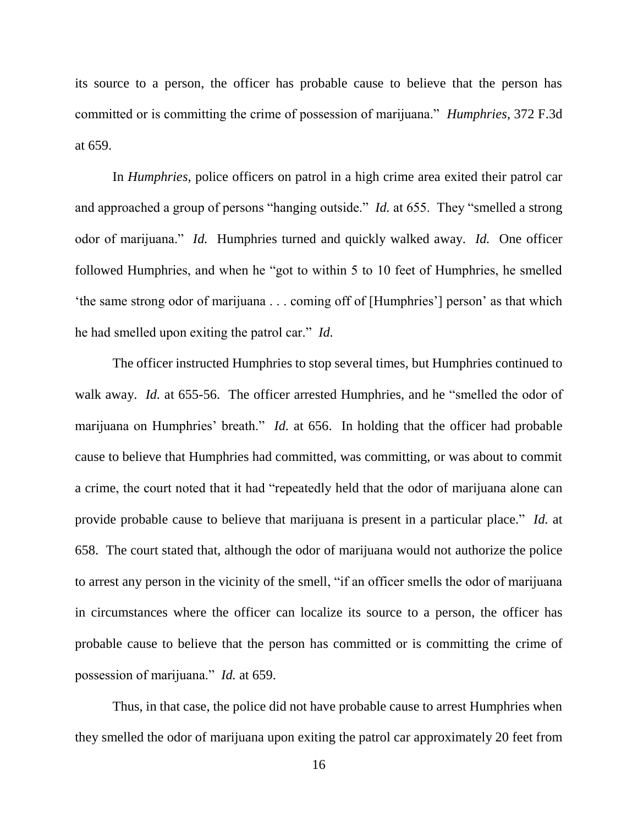its source to a person, the officer has probable cause to believe that the person has committed or is committing the crime of possession of marijuana." *Humphries*, 372 F.3d at 659.

In *Humphries*, police officers on patrol in a high crime area exited their patrol car and approached a group of persons "hanging outside." *Id.* at 655. They "smelled a strong odor of marijuana." *Id.* Humphries turned and quickly walked away. *Id.* One officer followed Humphries, and when he "got to within 5 to 10 feet of Humphries, he smelled 'the same strong odor of marijuana . . . coming off of [Humphries'] person' as that which he had smelled upon exiting the patrol car." *Id.*

The officer instructed Humphries to stop several times, but Humphries continued to walk away. *Id.* at 655-56. The officer arrested Humphries, and he "smelled the odor of marijuana on Humphries' breath." *Id.* at 656. In holding that the officer had probable cause to believe that Humphries had committed, was committing, or was about to commit a crime, the court noted that it had "repeatedly held that the odor of marijuana alone can provide probable cause to believe that marijuana is present in a particular place." *Id.* at 658. The court stated that, although the odor of marijuana would not authorize the police to arrest any person in the vicinity of the smell, "if an officer smells the odor of marijuana in circumstances where the officer can localize its source to a person, the officer has probable cause to believe that the person has committed or is committing the crime of possession of marijuana." *Id.* at 659.

Thus, in that case, the police did not have probable cause to arrest Humphries when they smelled the odor of marijuana upon exiting the patrol car approximately 20 feet from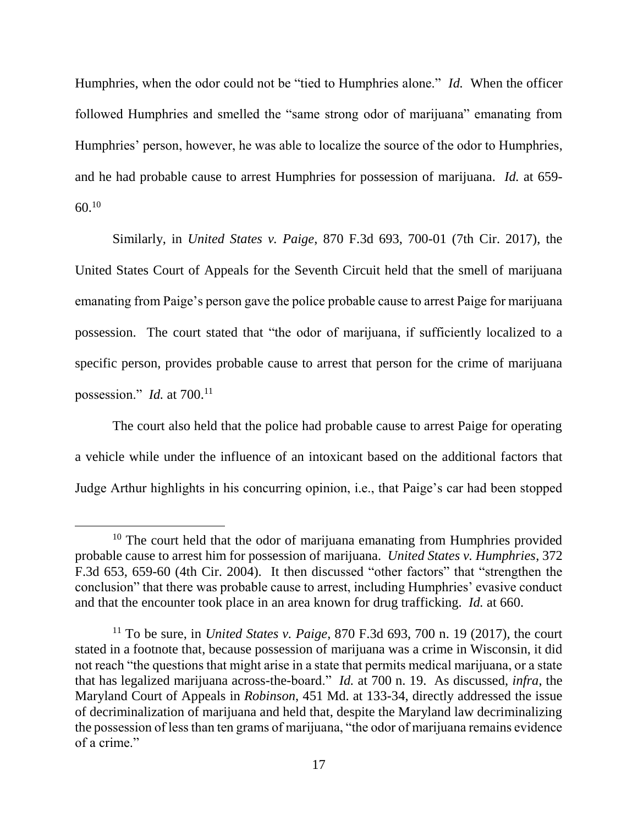Humphries, when the odor could not be "tied to Humphries alone." *Id.* When the officer followed Humphries and smelled the "same strong odor of marijuana" emanating from Humphries' person, however, he was able to localize the source of the odor to Humphries, and he had probable cause to arrest Humphries for possession of marijuana. *Id.* at 659-  $60^{10}$ 

Similarly, in *United States v. Paige*, 870 F.3d 693, 700-01 (7th Cir. 2017), the United States Court of Appeals for the Seventh Circuit held that the smell of marijuana emanating from Paige's person gave the police probable cause to arrest Paige for marijuana possession. The court stated that "the odor of marijuana, if sufficiently localized to a specific person, provides probable cause to arrest that person for the crime of marijuana possession." *Id.* at 700.<sup>11</sup>

The court also held that the police had probable cause to arrest Paige for operating a vehicle while under the influence of an intoxicant based on the additional factors that Judge Arthur highlights in his concurring opinion, i.e., that Paige's car had been stopped

 $10$  The court held that the odor of marijuana emanating from Humphries provided probable cause to arrest him for possession of marijuana. *United States v. Humphries*, 372 F.3d 653, 659-60 (4th Cir. 2004). It then discussed "other factors" that "strengthen the conclusion" that there was probable cause to arrest, including Humphries' evasive conduct and that the encounter took place in an area known for drug trafficking. *Id.* at 660.

<sup>11</sup> To be sure, in *United States v. Paige*, 870 F.3d 693, 700 n. 19 (2017), the court stated in a footnote that, because possession of marijuana was a crime in Wisconsin, it did not reach "the questions that might arise in a state that permits medical marijuana, or a state that has legalized marijuana across-the-board." *Id.* at 700 n. 19. As discussed, *infra*, the Maryland Court of Appeals in *Robinson*, 451 Md. at 133-34, directly addressed the issue of decriminalization of marijuana and held that, despite the Maryland law decriminalizing the possession of less than ten grams of marijuana, "the odor of marijuana remains evidence of a crime."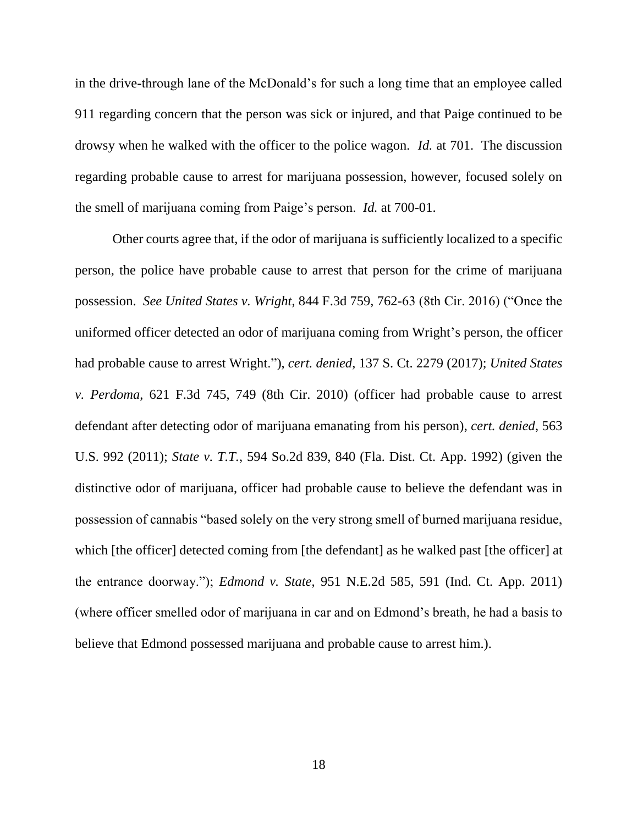in the drive-through lane of the McDonald's for such a long time that an employee called 911 regarding concern that the person was sick or injured, and that Paige continued to be drowsy when he walked with the officer to the police wagon. *Id.* at 701. The discussion regarding probable cause to arrest for marijuana possession, however, focused solely on the smell of marijuana coming from Paige's person. *Id.* at 700-01.

Other courts agree that, if the odor of marijuana is sufficiently localized to a specific person, the police have probable cause to arrest that person for the crime of marijuana possession. *See United States v. Wright*, 844 F.3d 759, 762-63 (8th Cir. 2016) ("Once the uniformed officer detected an odor of marijuana coming from Wright's person, the officer had probable cause to arrest Wright."), *cert. denied*, 137 S. Ct. 2279 (2017); *United States v. Perdoma*, 621 F.3d 745, 749 (8th Cir. 2010) (officer had probable cause to arrest defendant after detecting odor of marijuana emanating from his person), *cert. denied*, 563 U.S. 992 (2011); *State v. T.T.*, 594 So.2d 839, 840 (Fla. Dist. Ct. App. 1992) (given the distinctive odor of marijuana, officer had probable cause to believe the defendant was in possession of cannabis "based solely on the very strong smell of burned marijuana residue, which [the officer] detected coming from [the defendant] as he walked past [the officer] at the entrance doorway."); *Edmond v. State*, 951 N.E.2d 585, 591 (Ind. Ct. App. 2011) (where officer smelled odor of marijuana in car and on Edmond's breath, he had a basis to believe that Edmond possessed marijuana and probable cause to arrest him.).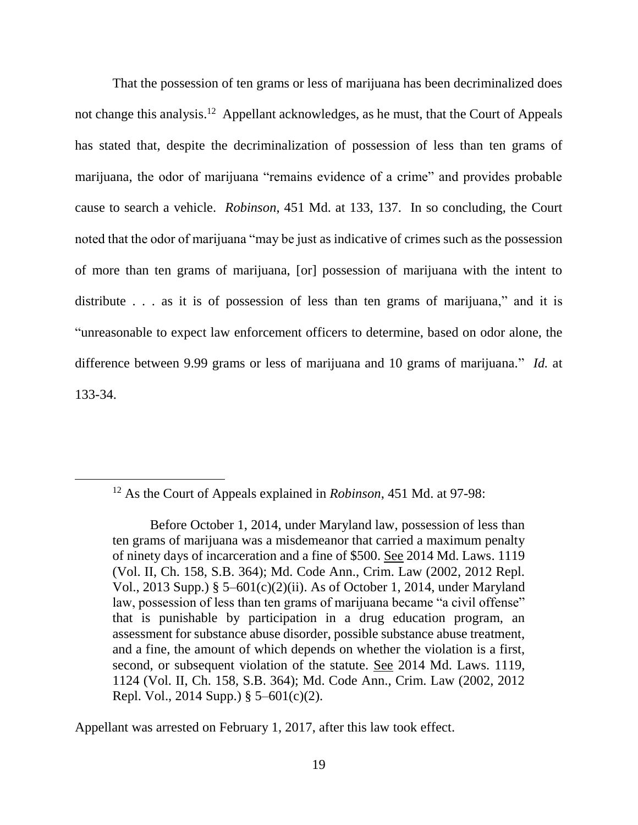That the possession of ten grams or less of marijuana has been decriminalized does not change this analysis.<sup>12</sup> Appellant acknowledges, as he must, that the Court of Appeals has stated that, despite the decriminalization of possession of less than ten grams of marijuana, the odor of marijuana "remains evidence of a crime" and provides probable cause to search a vehicle. *Robinson*, 451 Md. at 133, 137. In so concluding, the Court noted that the odor of marijuana "may be just as indicative of crimes such as the possession of more than ten grams of marijuana, [or] possession of marijuana with the intent to distribute . . . as it is of possession of less than ten grams of marijuana," and it is "unreasonable to expect law enforcement officers to determine, based on odor alone, the difference between 9.99 grams or less of marijuana and 10 grams of marijuana." *Id.* at 133-34.

 $\overline{a}$ 

Appellant was arrested on February 1, 2017, after this law took effect.

<sup>12</sup> As the Court of Appeals explained in *Robinson*, 451 Md. at 97-98:

Before October 1, 2014, under Maryland law, possession of less than ten grams of marijuana was a misdemeanor that carried a maximum penalty of ninety days of incarceration and a fine of \$500. See 2014 Md. Laws. 1119 (Vol. II, Ch. 158, S.B. 364); Md. Code Ann., Crim. Law (2002, 2012 Repl. Vol., 2013 Supp.) § 5–601(c)(2)(ii). As of October 1, 2014, under Maryland law, possession of less than ten grams of marijuana became "a civil offense" that is punishable by participation in a drug education program, an assessment for substance abuse disorder, possible substance abuse treatment, and a fine, the amount of which depends on whether the violation is a first, second, or subsequent violation of the statute. See 2014 Md. Laws. 1119, 1124 (Vol. II, Ch. 158, S.B. 364); Md. Code Ann., Crim. Law (2002, 2012 Repl. Vol., 2014 Supp.) § 5–601(c)(2).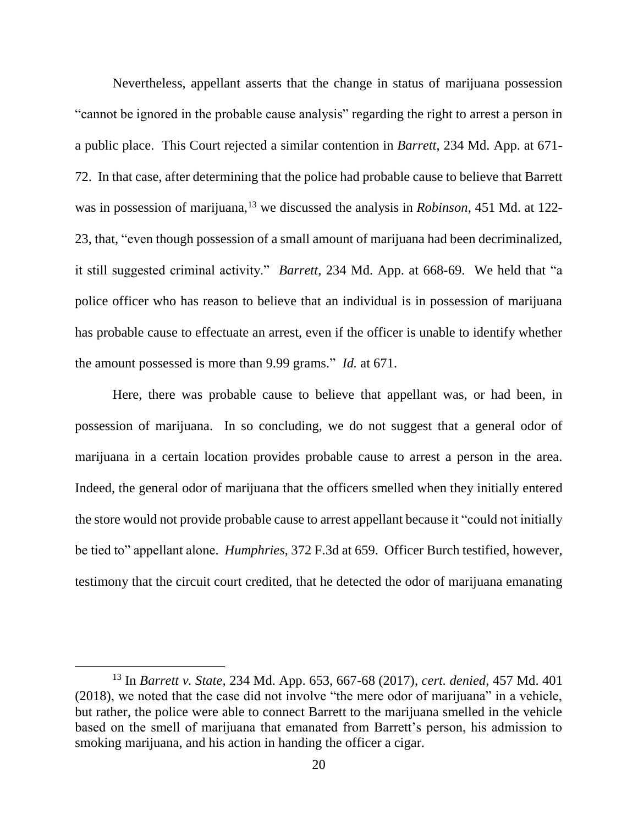Nevertheless, appellant asserts that the change in status of marijuana possession "cannot be ignored in the probable cause analysis" regarding the right to arrest a person in a public place. This Court rejected a similar contention in *Barrett*, 234 Md. App. at 671- 72. In that case, after determining that the police had probable cause to believe that Barrett was in possession of marijuana,<sup>13</sup> we discussed the analysis in *Robinson*, 451 Md. at 122-23, that, "even though possession of a small amount of marijuana had been decriminalized, it still suggested criminal activity." *Barrett*, 234 Md. App. at 668-69. We held that "a police officer who has reason to believe that an individual is in possession of marijuana has probable cause to effectuate an arrest, even if the officer is unable to identify whether the amount possessed is more than 9.99 grams." *Id.* at 671.

Here, there was probable cause to believe that appellant was, or had been, in possession of marijuana. In so concluding, we do not suggest that a general odor of marijuana in a certain location provides probable cause to arrest a person in the area. Indeed, the general odor of marijuana that the officers smelled when they initially entered the store would not provide probable cause to arrest appellant because it "could not initially be tied to" appellant alone. *Humphries*, 372 F.3d at 659. Officer Burch testified, however, testimony that the circuit court credited, that he detected the odor of marijuana emanating

<sup>13</sup> In *Barrett v. State*, 234 Md. App. 653, 667-68 (2017), *cert. denied*, 457 Md. 401 (2018), we noted that the case did not involve "the mere odor of marijuana" in a vehicle, but rather, the police were able to connect Barrett to the marijuana smelled in the vehicle based on the smell of marijuana that emanated from Barrett's person, his admission to smoking marijuana, and his action in handing the officer a cigar.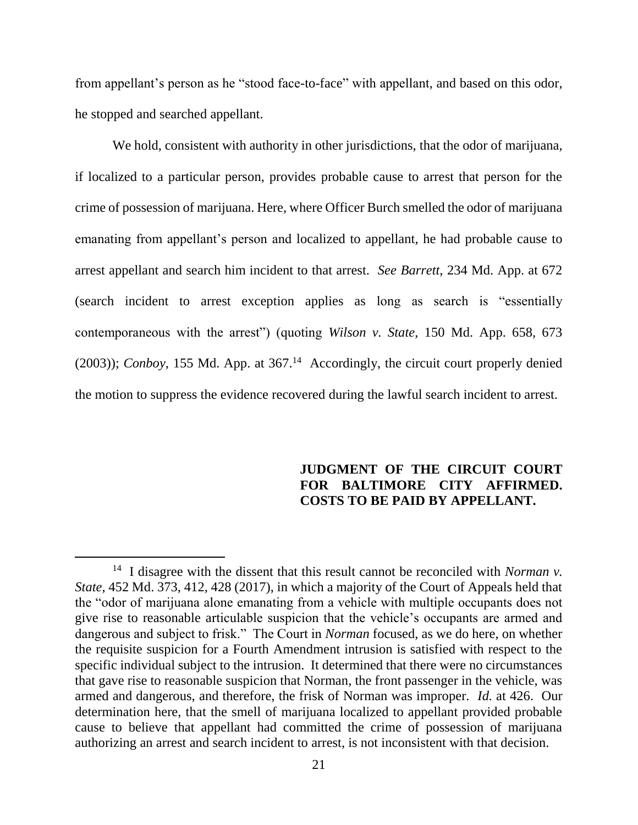from appellant's person as he "stood face-to-face" with appellant, and based on this odor, he stopped and searched appellant.

We hold, consistent with authority in other jurisdictions, that the odor of marijuana, if localized to a particular person, provides probable cause to arrest that person for the crime of possession of marijuana. Here, where Officer Burch smelled the odor of marijuana emanating from appellant's person and localized to appellant, he had probable cause to arrest appellant and search him incident to that arrest. *See Barrett*, 234 Md. App. at 672 (search incident to arrest exception applies as long as search is "essentially contemporaneous with the arrest") (quoting *Wilson v. State*, 150 Md. App. 658, 673 (2003)); *Conboy*, 155 Md. App. at 367. <sup>14</sup> Accordingly, the circuit court properly denied the motion to suppress the evidence recovered during the lawful search incident to arrest.

### **JUDGMENT OF THE CIRCUIT COURT FOR BALTIMORE CITY AFFIRMED. COSTS TO BE PAID BY APPELLANT.**

 <sup>14</sup> I disagree with the dissent that this result cannot be reconciled with *Norman v*. *State*, 452 Md. 373, 412, 428 (2017), in which a majority of the Court of Appeals held that the "odor of marijuana alone emanating from a vehicle with multiple occupants does not give rise to reasonable articulable suspicion that the vehicle's occupants are armed and dangerous and subject to frisk." The Court in *Norman* focused, as we do here, on whether the requisite suspicion for a Fourth Amendment intrusion is satisfied with respect to the specific individual subject to the intrusion. It determined that there were no circumstances that gave rise to reasonable suspicion that Norman, the front passenger in the vehicle, was armed and dangerous, and therefore, the frisk of Norman was improper. *Id.* at 426. Our determination here, that the smell of marijuana localized to appellant provided probable cause to believe that appellant had committed the crime of possession of marijuana authorizing an arrest and search incident to arrest, is not inconsistent with that decision.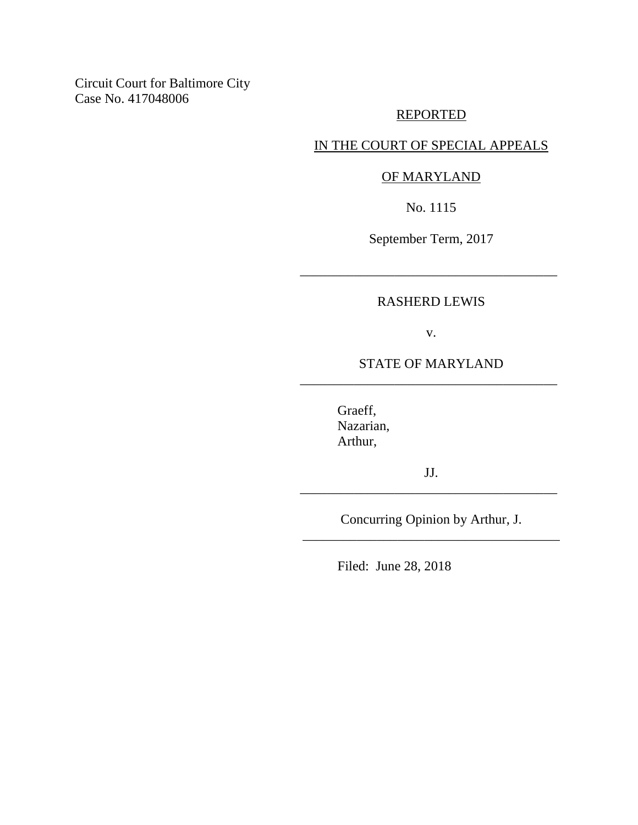Circuit Court for Baltimore City Case No. 417048006

## REPORTED

## IN THE COURT OF SPECIAL APPEALS

### OF MARYLAND

No. 1115

September Term, 2017

### RASHERD LEWIS

\_\_\_\_\_\_\_\_\_\_\_\_\_\_\_\_\_\_\_\_\_\_\_\_\_\_\_\_\_\_\_\_\_\_\_\_\_\_

v.

## STATE OF MARYLAND \_\_\_\_\_\_\_\_\_\_\_\_\_\_\_\_\_\_\_\_\_\_\_\_\_\_\_\_\_\_\_\_\_\_\_\_\_\_

Graeff, Nazarian, Arthur,

JJ. \_\_\_\_\_\_\_\_\_\_\_\_\_\_\_\_\_\_\_\_\_\_\_\_\_\_\_\_\_\_\_\_\_\_\_\_\_\_

Concurring Opinion by Arthur, J. \_\_\_\_\_\_\_\_\_\_\_\_\_\_\_\_\_\_\_\_\_\_\_\_\_\_\_\_\_\_\_\_\_\_\_\_\_\_

Filed: June 28, 2018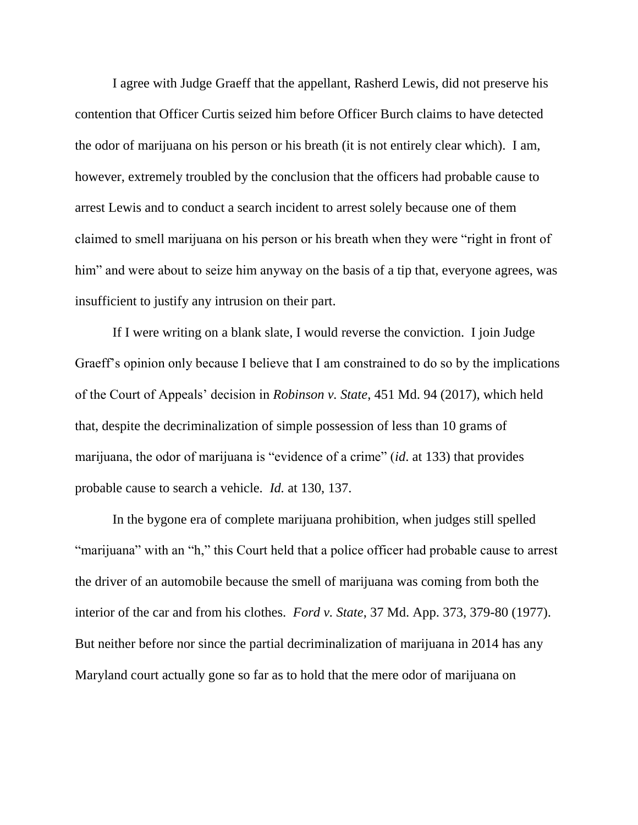I agree with Judge Graeff that the appellant, Rasherd Lewis, did not preserve his contention that Officer Curtis seized him before Officer Burch claims to have detected the odor of marijuana on his person or his breath (it is not entirely clear which). I am, however, extremely troubled by the conclusion that the officers had probable cause to arrest Lewis and to conduct a search incident to arrest solely because one of them claimed to smell marijuana on his person or his breath when they were "right in front of him" and were about to seize him anyway on the basis of a tip that, everyone agrees, was insufficient to justify any intrusion on their part.

If I were writing on a blank slate, I would reverse the conviction. I join Judge Graeff's opinion only because I believe that I am constrained to do so by the implications of the Court of Appeals' decision in *Robinson v. State*, 451 Md. 94 (2017), which held that, despite the decriminalization of simple possession of less than 10 grams of marijuana, the odor of marijuana is "evidence of a crime" (*id*. at 133) that provides probable cause to search a vehicle. *Id.* at 130, 137.

In the bygone era of complete marijuana prohibition, when judges still spelled "marijuana" with an "h," this Court held that a police officer had probable cause to arrest the driver of an automobile because the smell of marijuana was coming from both the interior of the car and from his clothes. *Ford v. State*, 37 Md. App. 373, 379-80 (1977). But neither before nor since the partial decriminalization of marijuana in 2014 has any Maryland court actually gone so far as to hold that the mere odor of marijuana on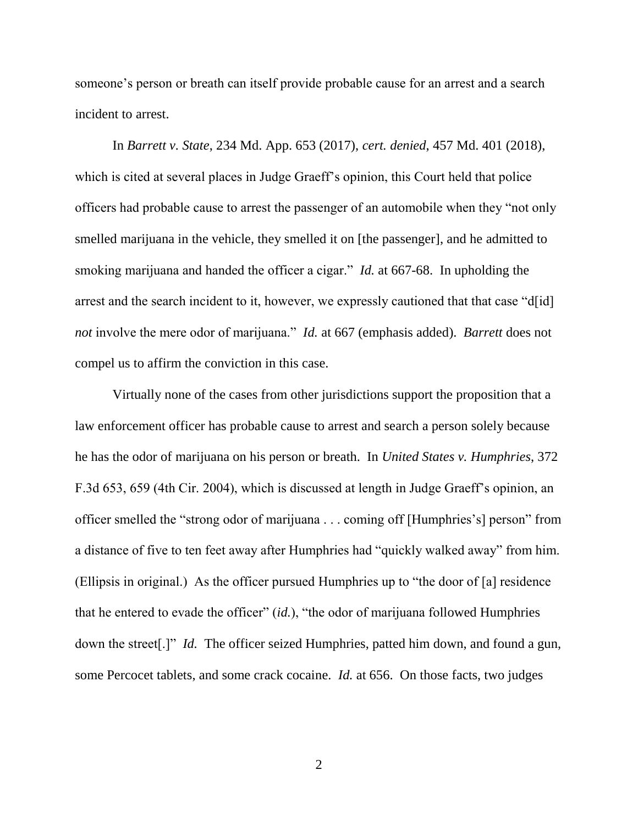someone's person or breath can itself provide probable cause for an arrest and a search incident to arrest.

In *Barrett v. State*, 234 Md. App. 653 (2017), *cert. denied*, 457 Md. 401 (2018), which is cited at several places in Judge Graeff's opinion, this Court held that police officers had probable cause to arrest the passenger of an automobile when they "not only smelled marijuana in the vehicle, they smelled it on [the passenger], and he admitted to smoking marijuana and handed the officer a cigar." *Id.* at 667-68. In upholding the arrest and the search incident to it, however, we expressly cautioned that that case "d[id] *not* involve the mere odor of marijuana." *Id.* at 667 (emphasis added). *Barrett* does not compel us to affirm the conviction in this case.

Virtually none of the cases from other jurisdictions support the proposition that a law enforcement officer has probable cause to arrest and search a person solely because he has the odor of marijuana on his person or breath. In *United States v. Humphries*, 372 F.3d 653, 659 (4th Cir. 2004), which is discussed at length in Judge Graeff's opinion, an officer smelled the "strong odor of marijuana . . . coming off [Humphries's] person" from a distance of five to ten feet away after Humphries had "quickly walked away" from him. (Ellipsis in original.) As the officer pursued Humphries up to "the door of [a] residence that he entered to evade the officer" (*id.*), "the odor of marijuana followed Humphries down the street[.]" *Id.* The officer seized Humphries, patted him down, and found a gun, some Percocet tablets, and some crack cocaine. *Id.* at 656. On those facts, two judges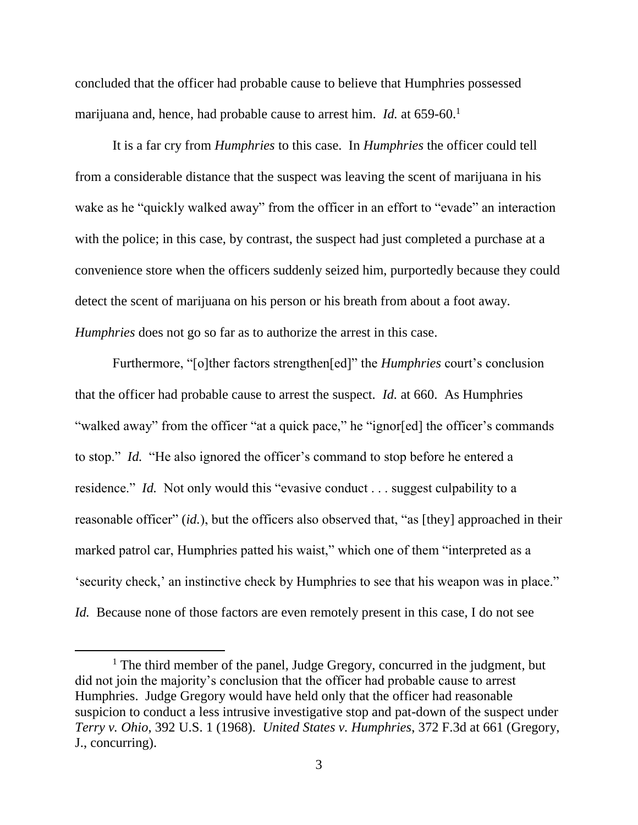concluded that the officer had probable cause to believe that Humphries possessed marijuana and, hence, had probable cause to arrest him. *Id.* at 659-60.<sup>1</sup>

It is a far cry from *Humphries* to this case. In *Humphries* the officer could tell from a considerable distance that the suspect was leaving the scent of marijuana in his wake as he "quickly walked away" from the officer in an effort to "evade" an interaction with the police; in this case, by contrast, the suspect had just completed a purchase at a convenience store when the officers suddenly seized him, purportedly because they could detect the scent of marijuana on his person or his breath from about a foot away. *Humphries* does not go so far as to authorize the arrest in this case.

Furthermore, "[o]ther factors strengthen[ed]" the *Humphries* court's conclusion that the officer had probable cause to arrest the suspect. *Id.* at 660. As Humphries "walked away" from the officer "at a quick pace," he "ignor[ed] the officer's commands to stop." *Id.* "He also ignored the officer's command to stop before he entered a residence." *Id.* Not only would this "evasive conduct . . . suggest culpability to a reasonable officer" (*id.*), but the officers also observed that, "as [they] approached in their marked patrol car, Humphries patted his waist," which one of them "interpreted as a 'security check,' an instinctive check by Humphries to see that his weapon was in place." *Id.* Because none of those factors are even remotely present in this case, I do not see

<sup>&</sup>lt;sup>1</sup> The third member of the panel, Judge Gregory, concurred in the judgment, but did not join the majority's conclusion that the officer had probable cause to arrest Humphries. Judge Gregory would have held only that the officer had reasonable suspicion to conduct a less intrusive investigative stop and pat-down of the suspect under *Terry v. Ohio*, 392 U.S. 1 (1968). *United States v. Humphries*, 372 F.3d at 661 (Gregory, J., concurring).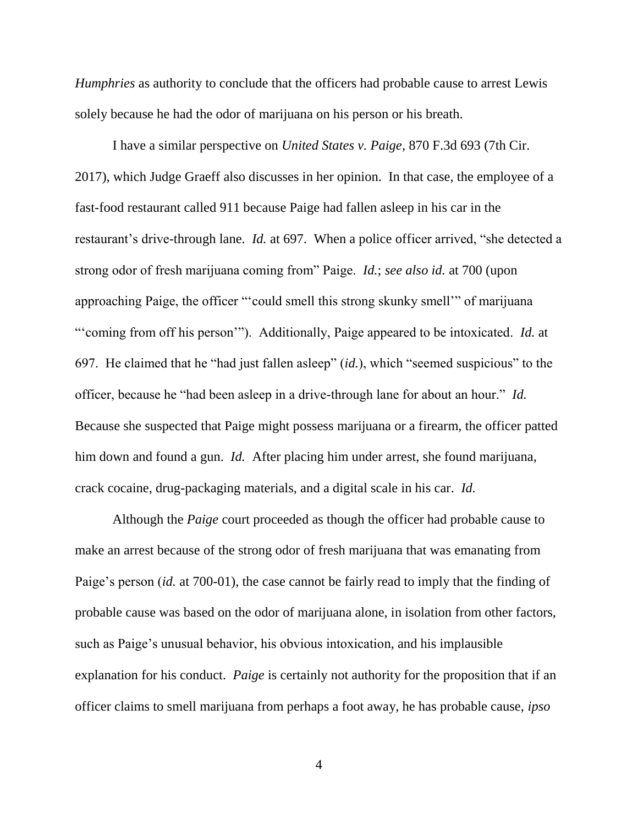*Humphries* as authority to conclude that the officers had probable cause to arrest Lewis solely because he had the odor of marijuana on his person or his breath.

I have a similar perspective on *United States v. Paige*, 870 F.3d 693 (7th Cir. 2017), which Judge Graeff also discusses in her opinion. In that case, the employee of a fast-food restaurant called 911 because Paige had fallen asleep in his car in the restaurant's drive-through lane. *Id.* at 697. When a police officer arrived, "she detected a strong odor of fresh marijuana coming from" Paige. *Id.*; *see also id.* at 700 (upon approaching Paige, the officer "'could smell this strong skunky smell'" of marijuana "'coming from off his person'"). Additionally, Paige appeared to be intoxicated. *Id.* at 697. He claimed that he "had just fallen asleep" (*id.*), which "seemed suspicious" to the officer, because he "had been asleep in a drive-through lane for about an hour." *Id.*  Because she suspected that Paige might possess marijuana or a firearm, the officer patted him down and found a gun. *Id.* After placing him under arrest, she found marijuana, crack cocaine, drug-packaging materials, and a digital scale in his car. *Id.*

Although the *Paige* court proceeded as though the officer had probable cause to make an arrest because of the strong odor of fresh marijuana that was emanating from Paige's person (*id.* at 700-01), the case cannot be fairly read to imply that the finding of probable cause was based on the odor of marijuana alone, in isolation from other factors, such as Paige's unusual behavior, his obvious intoxication, and his implausible explanation for his conduct. *Paige* is certainly not authority for the proposition that if an officer claims to smell marijuana from perhaps a foot away, he has probable cause, *ipso*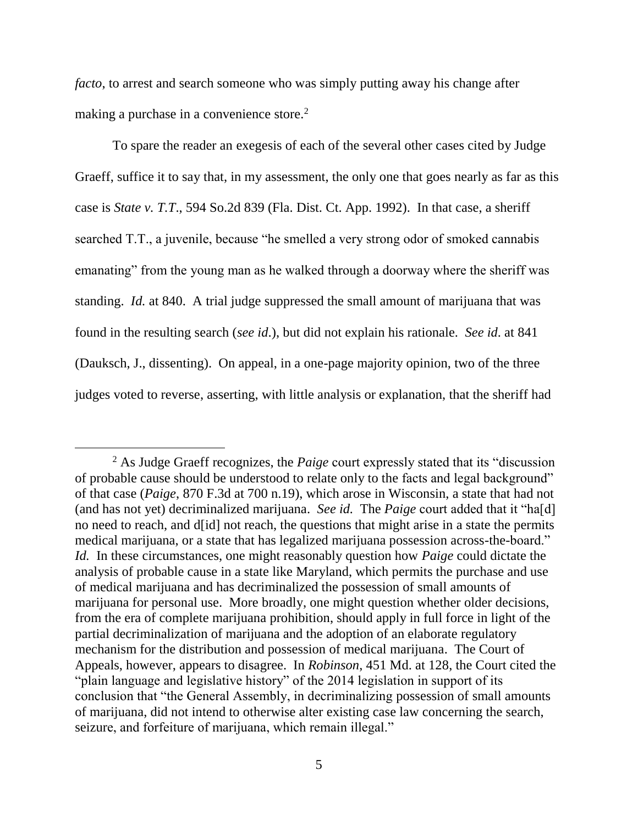*facto*, to arrest and search someone who was simply putting away his change after making a purchase in a convenience store.<sup>2</sup>

To spare the reader an exegesis of each of the several other cases cited by Judge Graeff, suffice it to say that, in my assessment, the only one that goes nearly as far as this case is *State v. T.T*., 594 So.2d 839 (Fla. Dist. Ct. App. 1992). In that case, a sheriff searched T.T., a juvenile, because "he smelled a very strong odor of smoked cannabis emanating" from the young man as he walked through a doorway where the sheriff was standing. *Id.* at 840. A trial judge suppressed the small amount of marijuana that was found in the resulting search (*see id*.), but did not explain his rationale. *See id*. at 841 (Dauksch, J., dissenting). On appeal, in a one-page majority opinion, two of the three judges voted to reverse, asserting, with little analysis or explanation, that the sheriff had

<sup>2</sup> As Judge Graeff recognizes, the *Paige* court expressly stated that its "discussion of probable cause should be understood to relate only to the facts and legal background" of that case (*Paige*, 870 F.3d at 700 n.19), which arose in Wisconsin, a state that had not (and has not yet) decriminalized marijuana. *See id.* The *Paige* court added that it "ha[d] no need to reach, and d[id] not reach, the questions that might arise in a state the permits medical marijuana, or a state that has legalized marijuana possession across-the-board." *Id.* In these circumstances, one might reasonably question how *Paige* could dictate the analysis of probable cause in a state like Maryland, which permits the purchase and use of medical marijuana and has decriminalized the possession of small amounts of marijuana for personal use. More broadly, one might question whether older decisions, from the era of complete marijuana prohibition, should apply in full force in light of the partial decriminalization of marijuana and the adoption of an elaborate regulatory mechanism for the distribution and possession of medical marijuana. The Court of Appeals, however, appears to disagree. In *Robinson*, 451 Md. at 128, the Court cited the "plain language and legislative history" of the 2014 legislation in support of its conclusion that "the General Assembly, in decriminalizing possession of small amounts of marijuana, did not intend to otherwise alter existing case law concerning the search, seizure, and forfeiture of marijuana, which remain illegal."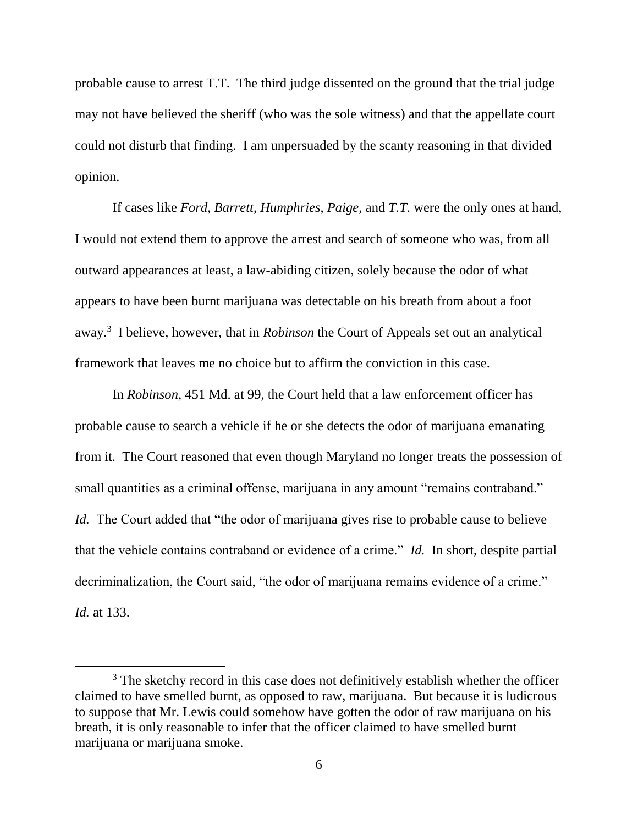probable cause to arrest T.T. The third judge dissented on the ground that the trial judge may not have believed the sheriff (who was the sole witness) and that the appellate court could not disturb that finding. I am unpersuaded by the scanty reasoning in that divided opinion.

If cases like *Ford*, *Barrett*, *Humphries*, *Paige*, and *T.T*. were the only ones at hand, I would not extend them to approve the arrest and search of someone who was, from all outward appearances at least, a law-abiding citizen, solely because the odor of what appears to have been burnt marijuana was detectable on his breath from about a foot away.<sup>3</sup> I believe, however, that in *Robinson* the Court of Appeals set out an analytical framework that leaves me no choice but to affirm the conviction in this case.

In *Robinson*, 451 Md. at 99, the Court held that a law enforcement officer has probable cause to search a vehicle if he or she detects the odor of marijuana emanating from it. The Court reasoned that even though Maryland no longer treats the possession of small quantities as a criminal offense, marijuana in any amount "remains contraband." *Id.* The Court added that "the odor of marijuana gives rise to probable cause to believe that the vehicle contains contraband or evidence of a crime." *Id.* In short, despite partial decriminalization, the Court said, "the odor of marijuana remains evidence of a crime." *Id.* at 133.

<sup>&</sup>lt;sup>3</sup> The sketchy record in this case does not definitively establish whether the officer claimed to have smelled burnt, as opposed to raw, marijuana. But because it is ludicrous to suppose that Mr. Lewis could somehow have gotten the odor of raw marijuana on his breath, it is only reasonable to infer that the officer claimed to have smelled burnt marijuana or marijuana smoke.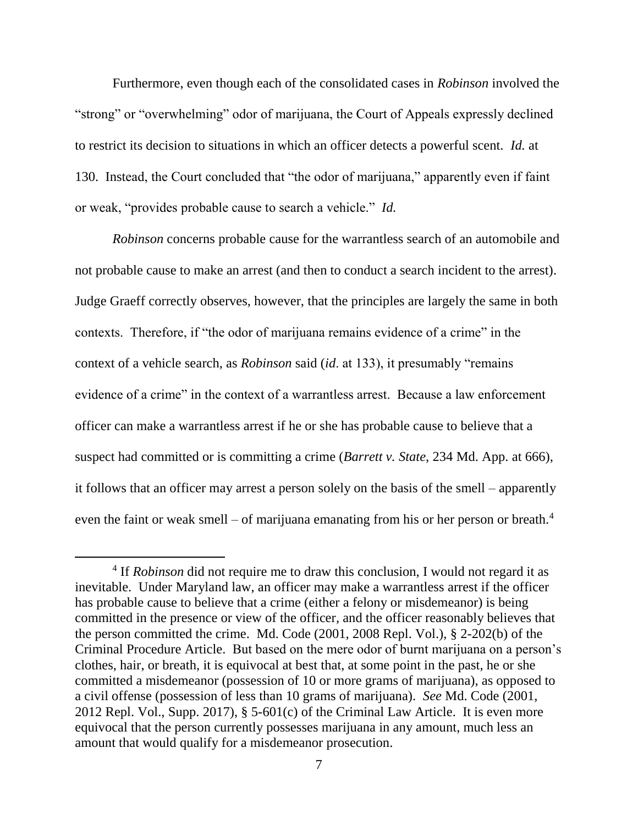Furthermore, even though each of the consolidated cases in *Robinson* involved the "strong" or "overwhelming" odor of marijuana, the Court of Appeals expressly declined to restrict its decision to situations in which an officer detects a powerful scent. *Id.* at 130. Instead, the Court concluded that "the odor of marijuana," apparently even if faint or weak, "provides probable cause to search a vehicle." *Id.*

*Robinson* concerns probable cause for the warrantless search of an automobile and not probable cause to make an arrest (and then to conduct a search incident to the arrest). Judge Graeff correctly observes, however, that the principles are largely the same in both contexts. Therefore, if "the odor of marijuana remains evidence of a crime" in the context of a vehicle search, as *Robinson* said (*id*. at 133), it presumably "remains evidence of a crime" in the context of a warrantless arrest. Because a law enforcement officer can make a warrantless arrest if he or she has probable cause to believe that a suspect had committed or is committing a crime (*Barrett v. State*, 234 Md. App. at 666), it follows that an officer may arrest a person solely on the basis of the smell – apparently even the faint or weak smell – of marijuana emanating from his or her person or breath. $4$ 

<sup>&</sup>lt;sup>4</sup> If *Robinson* did not require me to draw this conclusion, I would not regard it as inevitable. Under Maryland law, an officer may make a warrantless arrest if the officer has probable cause to believe that a crime (either a felony or misdemeanor) is being committed in the presence or view of the officer, and the officer reasonably believes that the person committed the crime. Md. Code (2001, 2008 Repl. Vol.), § 2-202(b) of the Criminal Procedure Article. But based on the mere odor of burnt marijuana on a person's clothes, hair, or breath, it is equivocal at best that, at some point in the past, he or she committed a misdemeanor (possession of 10 or more grams of marijuana), as opposed to a civil offense (possession of less than 10 grams of marijuana). *See* Md. Code (2001, 2012 Repl. Vol., Supp. 2017),  $\S$  5-601(c) of the Criminal Law Article. It is even more equivocal that the person currently possesses marijuana in any amount, much less an amount that would qualify for a misdemeanor prosecution.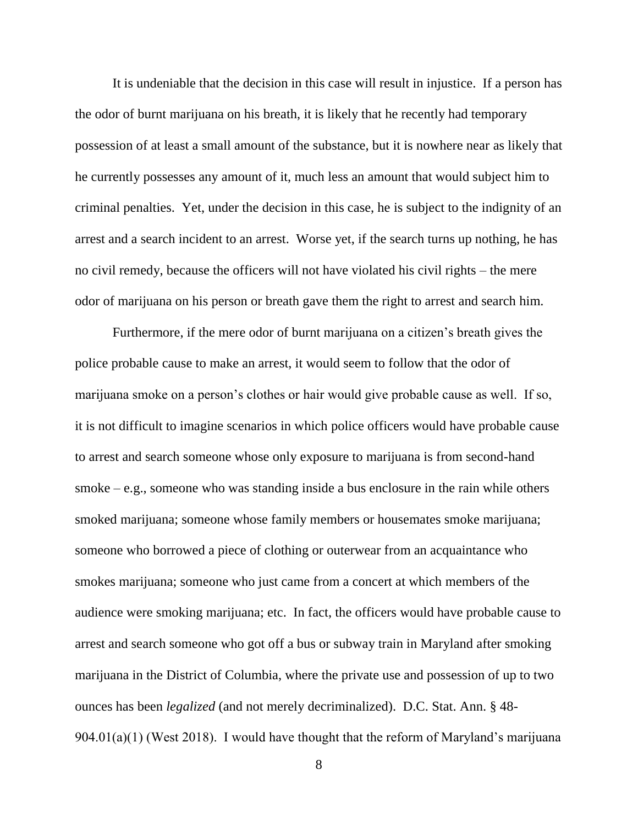It is undeniable that the decision in this case will result in injustice. If a person has the odor of burnt marijuana on his breath, it is likely that he recently had temporary possession of at least a small amount of the substance, but it is nowhere near as likely that he currently possesses any amount of it, much less an amount that would subject him to criminal penalties. Yet, under the decision in this case, he is subject to the indignity of an arrest and a search incident to an arrest. Worse yet, if the search turns up nothing, he has no civil remedy, because the officers will not have violated his civil rights – the mere odor of marijuana on his person or breath gave them the right to arrest and search him.

Furthermore, if the mere odor of burnt marijuana on a citizen's breath gives the police probable cause to make an arrest, it would seem to follow that the odor of marijuana smoke on a person's clothes or hair would give probable cause as well. If so, it is not difficult to imagine scenarios in which police officers would have probable cause to arrest and search someone whose only exposure to marijuana is from second-hand smoke – e.g., someone who was standing inside a bus enclosure in the rain while others smoked marijuana; someone whose family members or housemates smoke marijuana; someone who borrowed a piece of clothing or outerwear from an acquaintance who smokes marijuana; someone who just came from a concert at which members of the audience were smoking marijuana; etc. In fact, the officers would have probable cause to arrest and search someone who got off a bus or subway train in Maryland after smoking marijuana in the District of Columbia, where the private use and possession of up to two ounces has been *legalized* (and not merely decriminalized). D.C. Stat. Ann. § 48- 904.01(a)(1) (West 2018). I would have thought that the reform of Maryland's marijuana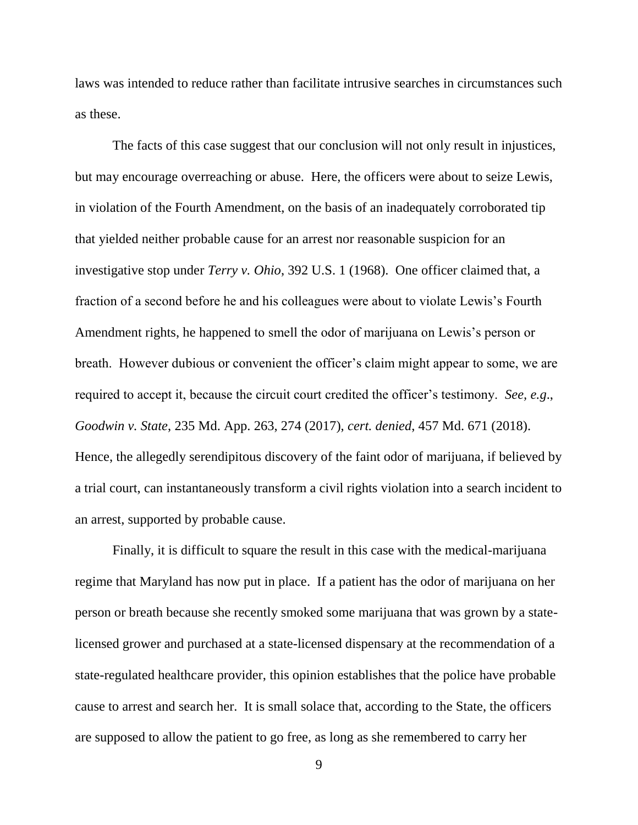laws was intended to reduce rather than facilitate intrusive searches in circumstances such as these.

The facts of this case suggest that our conclusion will not only result in injustices, but may encourage overreaching or abuse. Here, the officers were about to seize Lewis, in violation of the Fourth Amendment, on the basis of an inadequately corroborated tip that yielded neither probable cause for an arrest nor reasonable suspicion for an investigative stop under *Terry v. Ohio*, 392 U.S. 1 (1968). One officer claimed that, a fraction of a second before he and his colleagues were about to violate Lewis's Fourth Amendment rights, he happened to smell the odor of marijuana on Lewis's person or breath. However dubious or convenient the officer's claim might appear to some, we are required to accept it, because the circuit court credited the officer's testimony. *See, e.g*., *Goodwin v. State*, 235 Md. App. 263, 274 (2017), *cert. denied*, 457 Md. 671 (2018). Hence, the allegedly serendipitous discovery of the faint odor of marijuana, if believed by a trial court, can instantaneously transform a civil rights violation into a search incident to an arrest, supported by probable cause.

Finally, it is difficult to square the result in this case with the medical-marijuana regime that Maryland has now put in place. If a patient has the odor of marijuana on her person or breath because she recently smoked some marijuana that was grown by a statelicensed grower and purchased at a state-licensed dispensary at the recommendation of a state-regulated healthcare provider, this opinion establishes that the police have probable cause to arrest and search her. It is small solace that, according to the State, the officers are supposed to allow the patient to go free, as long as she remembered to carry her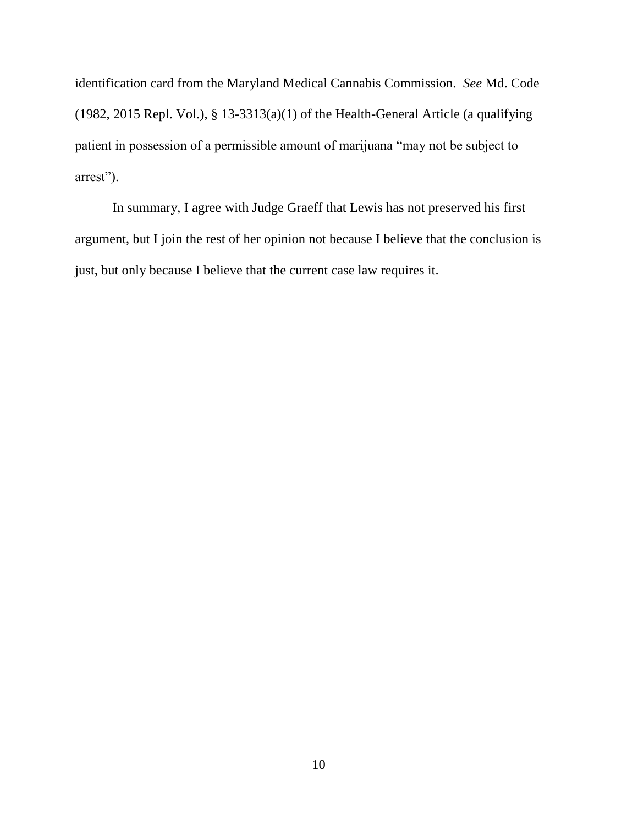identification card from the Maryland Medical Cannabis Commission. *See* Md. Code (1982, 2015 Repl. Vol.),  $\S$  13-3313(a)(1) of the Health-General Article (a qualifying patient in possession of a permissible amount of marijuana "may not be subject to arrest").

In summary, I agree with Judge Graeff that Lewis has not preserved his first argument, but I join the rest of her opinion not because I believe that the conclusion is just, but only because I believe that the current case law requires it.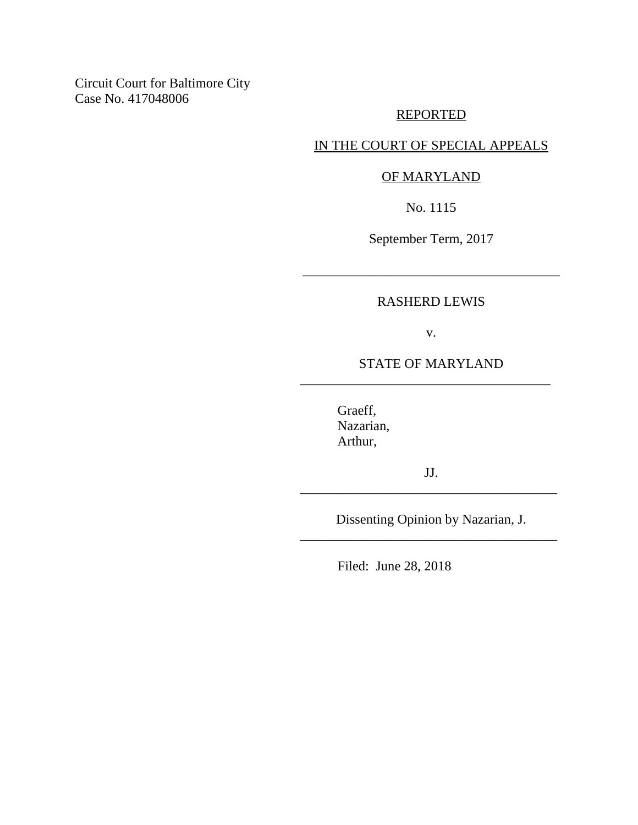Circuit Court for Baltimore City Case No. 417048006

## REPORTED

## IN THE COURT OF SPECIAL APPEALS

### OF MARYLAND

No. 1115

September Term, 2017

\_\_\_\_\_\_\_\_\_\_\_\_\_\_\_\_\_\_\_\_\_\_\_\_\_\_\_\_\_\_\_\_\_\_\_\_\_\_

### RASHERD LEWIS

v.

## STATE OF MARYLAND \_\_\_\_\_\_\_\_\_\_\_\_\_\_\_\_\_\_\_\_\_\_\_\_\_\_\_\_\_\_\_\_\_\_\_\_\_

Graeff, Nazarian, Arthur,

JJ. \_\_\_\_\_\_\_\_\_\_\_\_\_\_\_\_\_\_\_\_\_\_\_\_\_\_\_\_\_\_\_\_\_\_\_\_\_\_

Dissenting Opinion by Nazarian, J. \_\_\_\_\_\_\_\_\_\_\_\_\_\_\_\_\_\_\_\_\_\_\_\_\_\_\_\_\_\_\_\_\_\_\_\_\_\_

Filed: June 28, 2018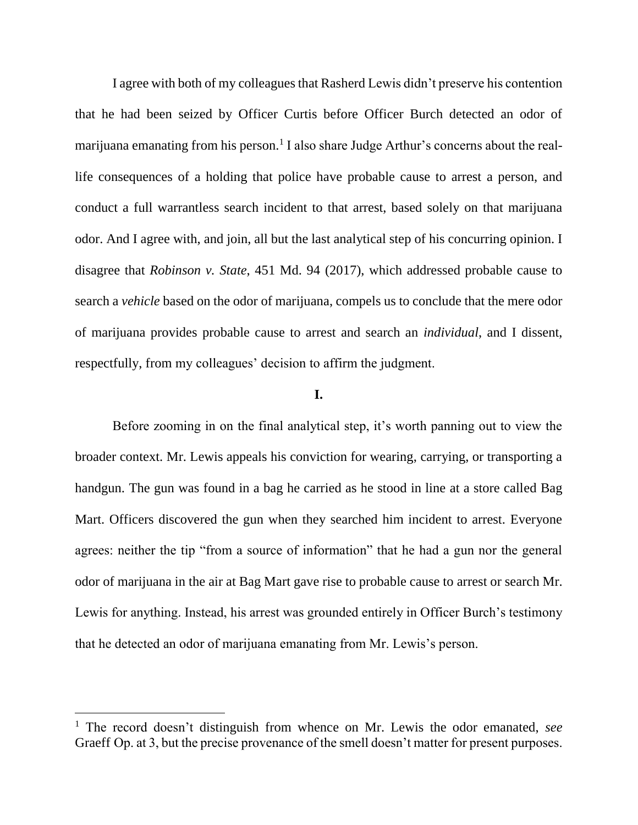I agree with both of my colleagues that Rasherd Lewis didn't preserve his contention that he had been seized by Officer Curtis before Officer Burch detected an odor of marijuana emanating from his person.<sup>1</sup> I also share Judge Arthur's concerns about the reallife consequences of a holding that police have probable cause to arrest a person, and conduct a full warrantless search incident to that arrest, based solely on that marijuana odor. And I agree with, and join, all but the last analytical step of his concurring opinion. I disagree that *Robinson v. State*, 451 Md. 94 (2017), which addressed probable cause to search a *vehicle* based on the odor of marijuana, compels us to conclude that the mere odor of marijuana provides probable cause to arrest and search an *individual*, and I dissent, respectfully, from my colleagues' decision to affirm the judgment.

#### **I.**

Before zooming in on the final analytical step, it's worth panning out to view the broader context. Mr. Lewis appeals his conviction for wearing, carrying, or transporting a handgun. The gun was found in a bag he carried as he stood in line at a store called Bag Mart. Officers discovered the gun when they searched him incident to arrest. Everyone agrees: neither the tip "from a source of information" that he had a gun nor the general odor of marijuana in the air at Bag Mart gave rise to probable cause to arrest or search Mr. Lewis for anything. Instead, his arrest was grounded entirely in Officer Burch's testimony that he detected an odor of marijuana emanating from Mr. Lewis's person.

<sup>1</sup> The record doesn't distinguish from whence on Mr. Lewis the odor emanated, *see*  Graeff Op. at 3, but the precise provenance of the smell doesn't matter for present purposes.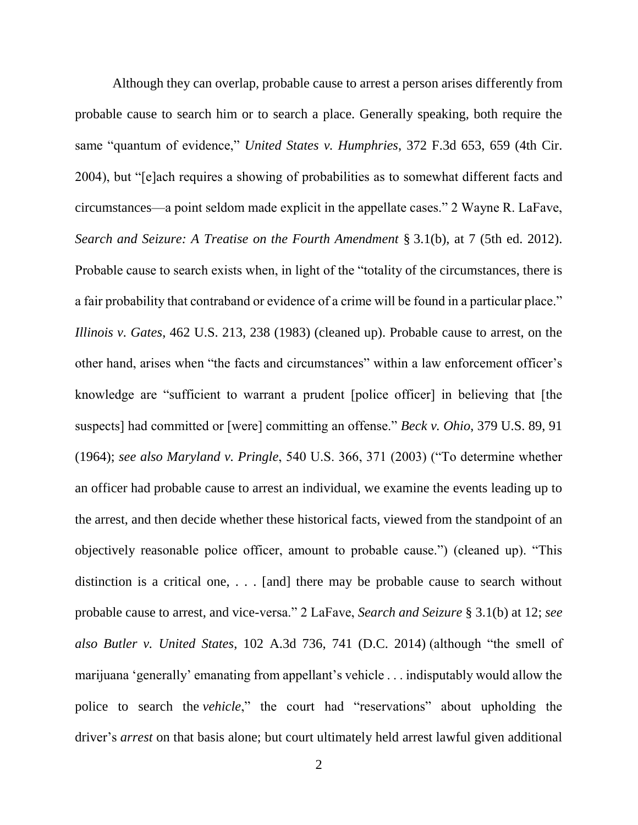Although they can overlap, probable cause to arrest a person arises differently from probable cause to search him or to search a place. Generally speaking, both require the same "quantum of evidence," *United States v. Humphries*, 372 F.3d 653, 659 (4th Cir. 2004), but "[e]ach requires a showing of probabilities as to somewhat different facts and circumstances—a point seldom made explicit in the appellate cases." 2 Wayne R. LaFave, *Search and Seizure: A Treatise on the Fourth Amendment* § 3.1(b), at 7 (5th ed. 2012). Probable cause to search exists when, in light of the "totality of the circumstances, there is a fair probability that contraband or evidence of a crime will be found in a particular place." *Illinois v. Gates*, 462 U.S. 213, 238 (1983) (cleaned up). Probable cause to arrest, on the other hand, arises when "the facts and circumstances" within a law enforcement officer's knowledge are "sufficient to warrant a prudent [police officer] in believing that [the suspects] had committed or [were] committing an offense." *Beck v. Ohio*, 379 U.S. 89, 91 (1964); *see also Maryland v. Pringle*, 540 U.S. 366, 371 (2003) ("To determine whether an officer had probable cause to arrest an individual, we examine the events leading up to the arrest, and then decide whether these historical facts, viewed from the standpoint of an objectively reasonable police officer, amount to probable cause.") (cleaned up). "This distinction is a critical one, . . . [and] there may be probable cause to search without probable cause to arrest, and vice-versa." 2 LaFave, *Search and Seizure* § 3.1(b) at 12; *see also Butler v. United States*, 102 A.3d 736, 741 (D.C. 2014) (although "the smell of marijuana 'generally' emanating from appellant's vehicle . . . indisputably would allow the police to search the *vehicle*," the court had "reservations" about upholding the driver's *arrest* on that basis alone; but court ultimately held arrest lawful given additional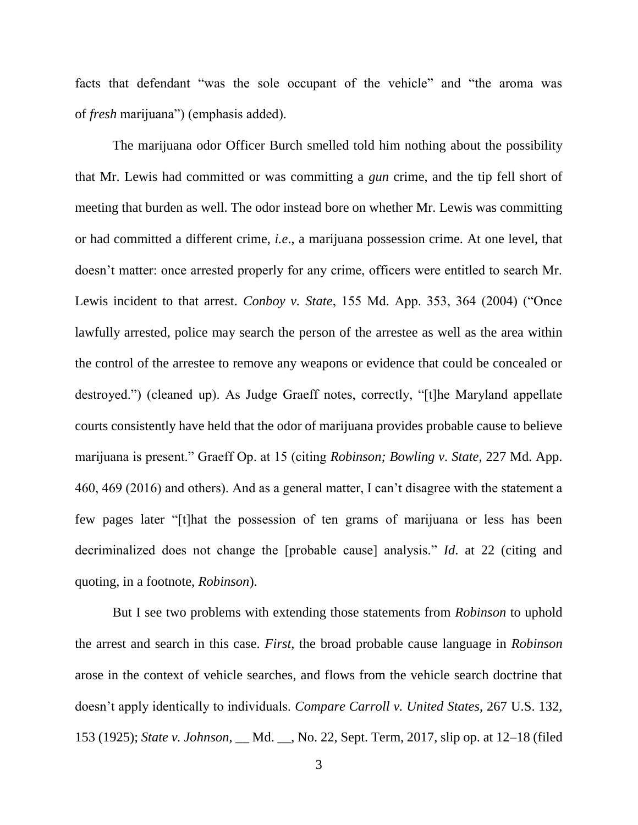facts that defendant "was the sole occupant of the vehicle" and "the aroma was of *fresh* marijuana") (emphasis added).

The marijuana odor Officer Burch smelled told him nothing about the possibility that Mr. Lewis had committed or was committing a *gun* crime, and the tip fell short of meeting that burden as well. The odor instead bore on whether Mr. Lewis was committing or had committed a different crime, *i.e*., a marijuana possession crime. At one level, that doesn't matter: once arrested properly for any crime, officers were entitled to search Mr. Lewis incident to that arrest. *Conboy v. State*, 155 Md. App. 353, 364 (2004) ("Once lawfully arrested, police may search the person of the arrestee as well as the area within the control of the arrestee to remove any weapons or evidence that could be concealed or destroyed.") (cleaned up). As Judge Graeff notes, correctly, "[t]he Maryland appellate courts consistently have held that the odor of marijuana provides probable cause to believe marijuana is present." Graeff Op. at 15 (citing *Robinson; Bowling v. State*, 227 Md. App. 460, 469 (2016) and others). And as a general matter, I can't disagree with the statement a few pages later "[t]hat the possession of ten grams of marijuana or less has been decriminalized does not change the [probable cause] analysis." *Id*. at 22 (citing and quoting, in a footnote, *Robinson*).

But I see two problems with extending those statements from *Robinson* to uphold the arrest and search in this case. *First*, the broad probable cause language in *Robinson* arose in the context of vehicle searches, and flows from the vehicle search doctrine that doesn't apply identically to individuals. *Compare Carroll v. United States*, 267 U.S. 132, 153 (1925); *State v. Johnson*, \_\_ Md. \_\_, No. 22, Sept. Term, 2017, slip op. at 12–18 (filed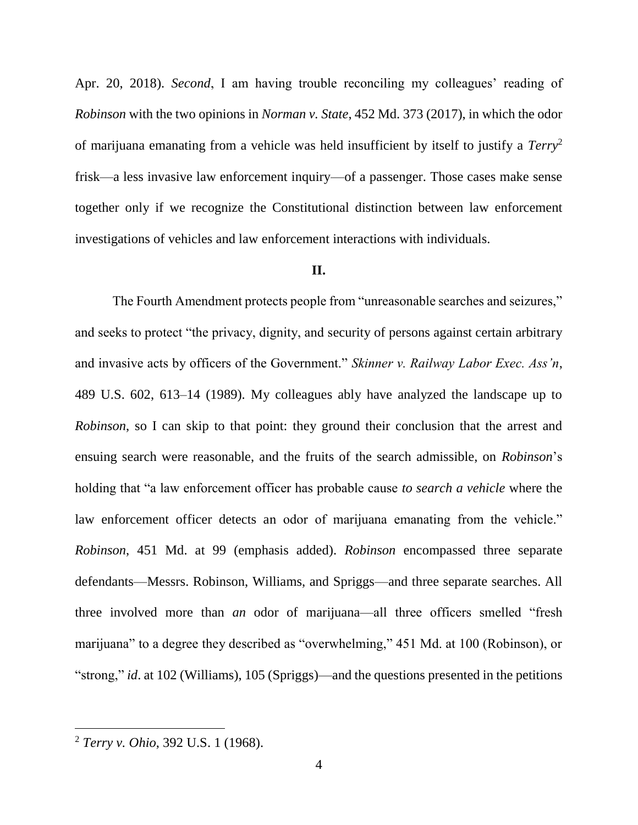Apr. 20, 2018). *Second*, I am having trouble reconciling my colleagues' reading of *Robinson* with the two opinions in *Norman v. State*, 452 Md. 373 (2017), in which the odor of marijuana emanating from a vehicle was held insufficient by itself to justify a *Terry*<sup>2</sup> frisk—a less invasive law enforcement inquiry—of a passenger. Those cases make sense together only if we recognize the Constitutional distinction between law enforcement investigations of vehicles and law enforcement interactions with individuals.

### **II.**

The Fourth Amendment protects people from "unreasonable searches and seizures," and seeks to protect "the privacy, dignity, and security of persons against certain arbitrary and invasive acts by officers of the Government." *Skinner v. Railway Labor Exec. Ass'n*, 489 U.S. 602, 613–14 (1989). My colleagues ably have analyzed the landscape up to *Robinson*, so I can skip to that point: they ground their conclusion that the arrest and ensuing search were reasonable, and the fruits of the search admissible, on *Robinson*'s holding that "a law enforcement officer has probable cause *to search a vehicle* where the law enforcement officer detects an odor of marijuana emanating from the vehicle." *Robinson*, 451 Md. at 99 (emphasis added). *Robinson* encompassed three separate defendants—Messrs. Robinson, Williams, and Spriggs—and three separate searches. All three involved more than *an* odor of marijuana—all three officers smelled "fresh marijuana" to a degree they described as "overwhelming," 451 Md. at 100 (Robinson), or "strong," *id*. at 102 (Williams), 105 (Spriggs)—and the questions presented in the petitions

<sup>2</sup> *Terry v. Ohio*, 392 U.S. 1 (1968).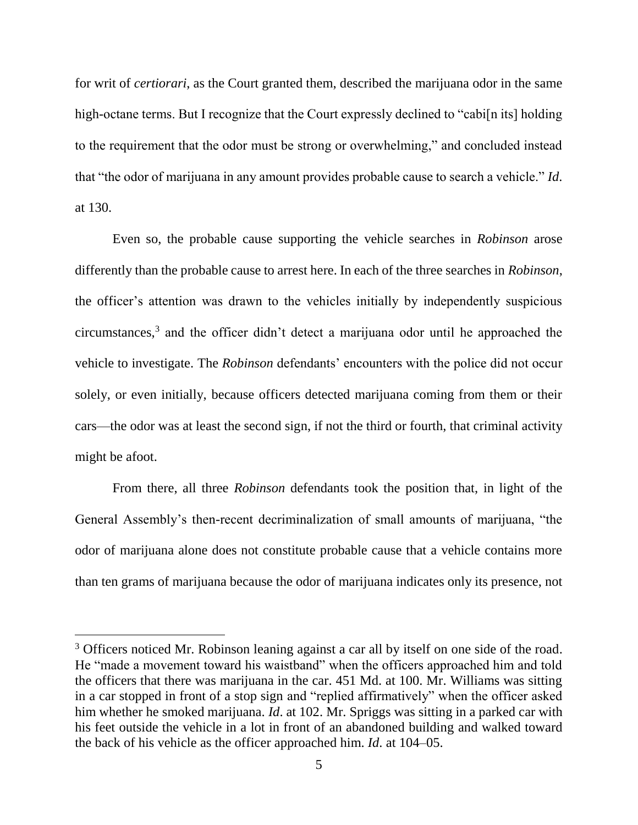for writ of *certiorari*, as the Court granted them, described the marijuana odor in the same high-octane terms. But I recognize that the Court expressly declined to "cabi[n its] holding to the requirement that the odor must be strong or overwhelming," and concluded instead that "the odor of marijuana in any amount provides probable cause to search a vehicle." *Id*. at 130.

Even so, the probable cause supporting the vehicle searches in *Robinson* arose differently than the probable cause to arrest here. In each of the three searches in *Robinson*, the officer's attention was drawn to the vehicles initially by independently suspicious circumstances,<sup>3</sup> and the officer didn't detect a marijuana odor until he approached the vehicle to investigate. The *Robinson* defendants' encounters with the police did not occur solely, or even initially, because officers detected marijuana coming from them or their cars—the odor was at least the second sign, if not the third or fourth, that criminal activity might be afoot.

From there, all three *Robinson* defendants took the position that, in light of the General Assembly's then-recent decriminalization of small amounts of marijuana, "the odor of marijuana alone does not constitute probable cause that a vehicle contains more than ten grams of marijuana because the odor of marijuana indicates only its presence, not

<sup>&</sup>lt;sup>3</sup> Officers noticed Mr. Robinson leaning against a car all by itself on one side of the road. He "made a movement toward his waistband" when the officers approached him and told the officers that there was marijuana in the car. 451 Md. at 100. Mr. Williams was sitting in a car stopped in front of a stop sign and "replied affirmatively" when the officer asked him whether he smoked marijuana. *Id*. at 102. Mr. Spriggs was sitting in a parked car with his feet outside the vehicle in a lot in front of an abandoned building and walked toward the back of his vehicle as the officer approached him. *Id*. at 104–05.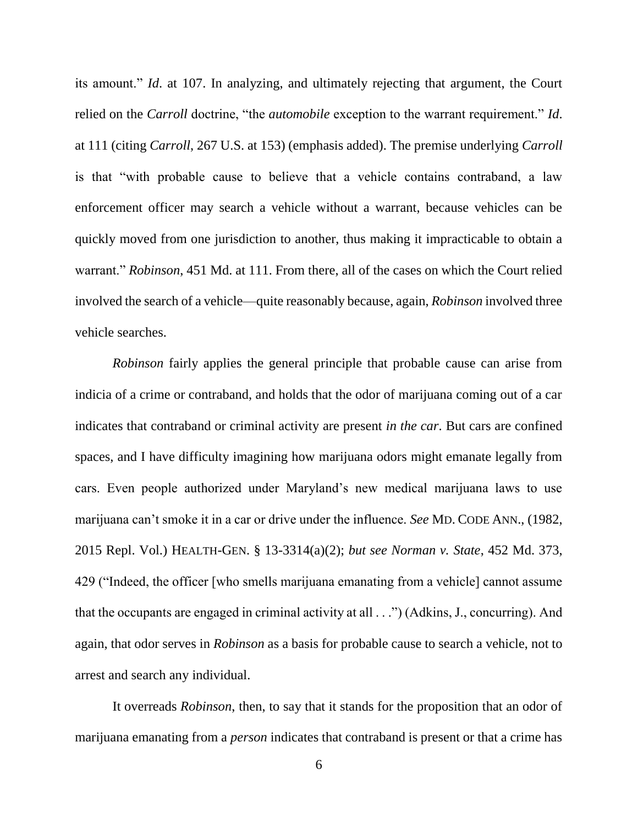its amount." *Id*. at 107. In analyzing, and ultimately rejecting that argument, the Court relied on the *Carroll* doctrine, "the *automobile* exception to the warrant requirement." *Id*. at 111 (citing *Carroll*, 267 U.S. at 153) (emphasis added). The premise underlying *Carroll* is that "with probable cause to believe that a vehicle contains contraband, a law enforcement officer may search a vehicle without a warrant, because vehicles can be quickly moved from one jurisdiction to another, thus making it impracticable to obtain a warrant." *Robinson*, 451 Md. at 111. From there, all of the cases on which the Court relied involved the search of a vehicle—quite reasonably because, again, *Robinson* involved three vehicle searches.

*Robinson* fairly applies the general principle that probable cause can arise from indicia of a crime or contraband, and holds that the odor of marijuana coming out of a car indicates that contraband or criminal activity are present *in the car*. But cars are confined spaces, and I have difficulty imagining how marijuana odors might emanate legally from cars. Even people authorized under Maryland's new medical marijuana laws to use marijuana can't smoke it in a car or drive under the influence. *See* MD. CODE ANN., (1982, 2015 Repl. Vol.) HEALTH-GEN. § 13-3314(a)(2); *but see Norman v. State*, 452 Md. 373, 429 ("Indeed, the officer [who smells marijuana emanating from a vehicle] cannot assume that the occupants are engaged in criminal activity at all . . .") (Adkins, J., concurring). And again, that odor serves in *Robinson* as a basis for probable cause to search a vehicle, not to arrest and search any individual.

It overreads *Robinson*, then, to say that it stands for the proposition that an odor of marijuana emanating from a *person* indicates that contraband is present or that a crime has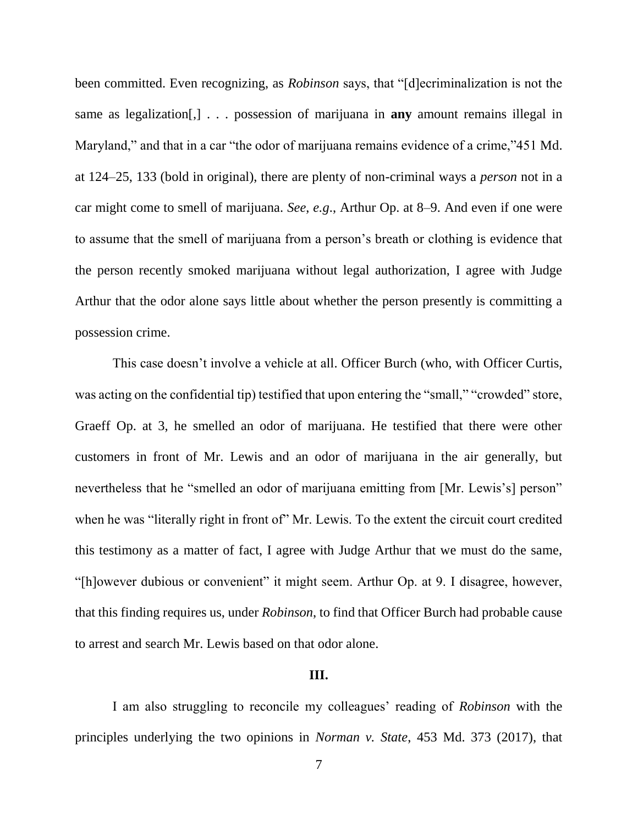been committed. Even recognizing, as *Robinson* says, that "[d]ecriminalization is not the same as legalization[,] . . . possession of marijuana in **any** amount remains illegal in Maryland," and that in a car "the odor of marijuana remains evidence of a crime,"451 Md. at 124–25, 133 (bold in original), there are plenty of non-criminal ways a *person* not in a car might come to smell of marijuana. *See*, *e.g*., Arthur Op. at 8–9. And even if one were to assume that the smell of marijuana from a person's breath or clothing is evidence that the person recently smoked marijuana without legal authorization, I agree with Judge Arthur that the odor alone says little about whether the person presently is committing a possession crime.

This case doesn't involve a vehicle at all. Officer Burch (who, with Officer Curtis, was acting on the confidential tip) testified that upon entering the "small," "crowded" store, Graeff Op. at 3, he smelled an odor of marijuana. He testified that there were other customers in front of Mr. Lewis and an odor of marijuana in the air generally, but nevertheless that he "smelled an odor of marijuana emitting from [Mr. Lewis's] person" when he was "literally right in front of" Mr. Lewis. To the extent the circuit court credited this testimony as a matter of fact, I agree with Judge Arthur that we must do the same, "[h]owever dubious or convenient" it might seem. Arthur Op. at 9. I disagree, however, that this finding requires us, under *Robinson*, to find that Officer Burch had probable cause to arrest and search Mr. Lewis based on that odor alone.

#### **III.**

I am also struggling to reconcile my colleagues' reading of *Robinson* with the principles underlying the two opinions in *Norman v. State*, 453 Md. 373 (2017), that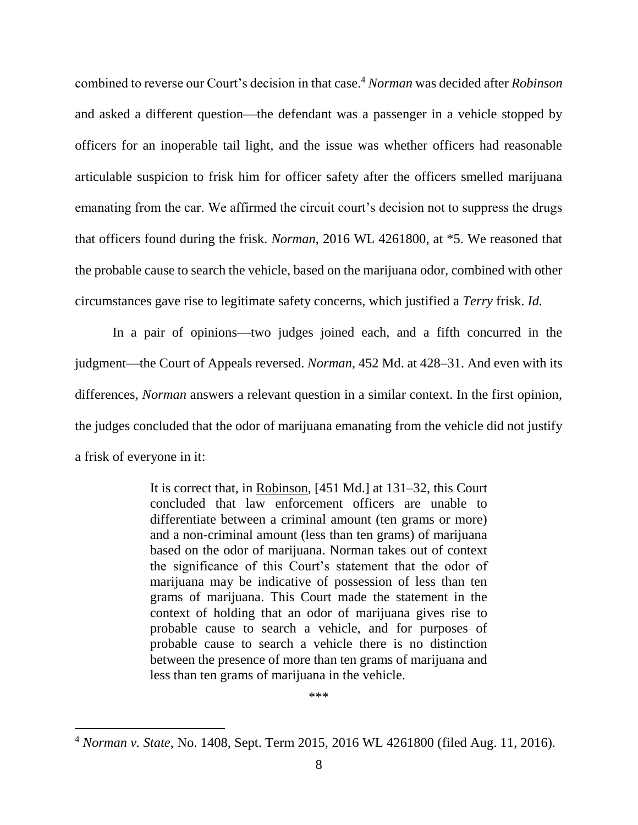combined to reverse our Court's decision in that case.<sup>4</sup> *Norman* was decided after *Robinson* and asked a different question—the defendant was a passenger in a vehicle stopped by officers for an inoperable tail light, and the issue was whether officers had reasonable articulable suspicion to frisk him for officer safety after the officers smelled marijuana emanating from the car. We affirmed the circuit court's decision not to suppress the drugs that officers found during the frisk. *Norman*, 2016 WL 4261800, at \*5. We reasoned that the probable cause to search the vehicle, based on the marijuana odor, combined with other circumstances gave rise to legitimate safety concerns, which justified a *Terry* frisk. *Id.*

In a pair of opinions—two judges joined each, and a fifth concurred in the judgment—the Court of Appeals reversed. *Norman*, 452 Md. at 428–31. And even with its differences, *Norman* answers a relevant question in a similar context. In the first opinion, the judges concluded that the odor of marijuana emanating from the vehicle did not justify a frisk of everyone in it:

> It is correct that, in Robinson, [451 Md.] at 131–32, this Court concluded that law enforcement officers are unable to differentiate between a criminal amount (ten grams or more) and a non-criminal amount (less than ten grams) of marijuana based on the odor of marijuana. Norman takes out of context the significance of this Court's statement that the odor of marijuana may be indicative of possession of less than ten grams of marijuana. This Court made the statement in the context of holding that an odor of marijuana gives rise to probable cause to search a vehicle, and for purposes of probable cause to search a vehicle there is no distinction between the presence of more than ten grams of marijuana and less than ten grams of marijuana in the vehicle.

> > \*\*\*

<sup>4</sup> *Norman v. State*, No. 1408, Sept. Term 2015, 2016 WL 4261800 (filed Aug. 11, 2016).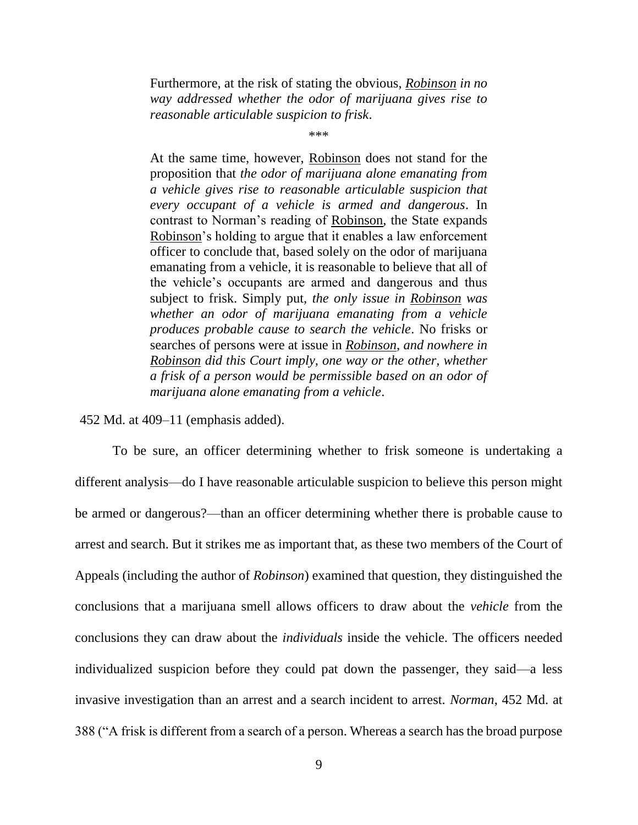Furthermore, at the risk of stating the obvious, *Robinson in no way addressed whether the odor of marijuana gives rise to reasonable articulable suspicion to frisk*.

\*\*\*

At the same time, however, Robinson does not stand for the proposition that *the odor of marijuana alone emanating from a vehicle gives rise to reasonable articulable suspicion that every occupant of a vehicle is armed and dangerous*. In contrast to Norman's reading of Robinson, the State expands Robinson's holding to argue that it enables a law enforcement officer to conclude that, based solely on the odor of marijuana emanating from a vehicle, it is reasonable to believe that all of the vehicle's occupants are armed and dangerous and thus subject to frisk. Simply put, *the only issue in Robinson was whether an odor of marijuana emanating from a vehicle produces probable cause to search the vehicle*. No frisks or searches of persons were at issue in *Robinson*, *and nowhere in Robinson did this Court imply, one way or the other, whether a frisk of a person would be permissible based on an odor of marijuana alone emanating from a vehicle*.

452 Md. at 409–11 (emphasis added).

To be sure, an officer determining whether to frisk someone is undertaking a different analysis—do I have reasonable articulable suspicion to believe this person might be armed or dangerous?—than an officer determining whether there is probable cause to arrest and search. But it strikes me as important that, as these two members of the Court of Appeals (including the author of *Robinson*) examined that question, they distinguished the conclusions that a marijuana smell allows officers to draw about the *vehicle* from the conclusions they can draw about the *individuals* inside the vehicle. The officers needed individualized suspicion before they could pat down the passenger, they said—a less invasive investigation than an arrest and a search incident to arrest. *Norman*, 452 Md. at 388 ("A frisk is different from a search of a person. Whereas a search has the broad purpose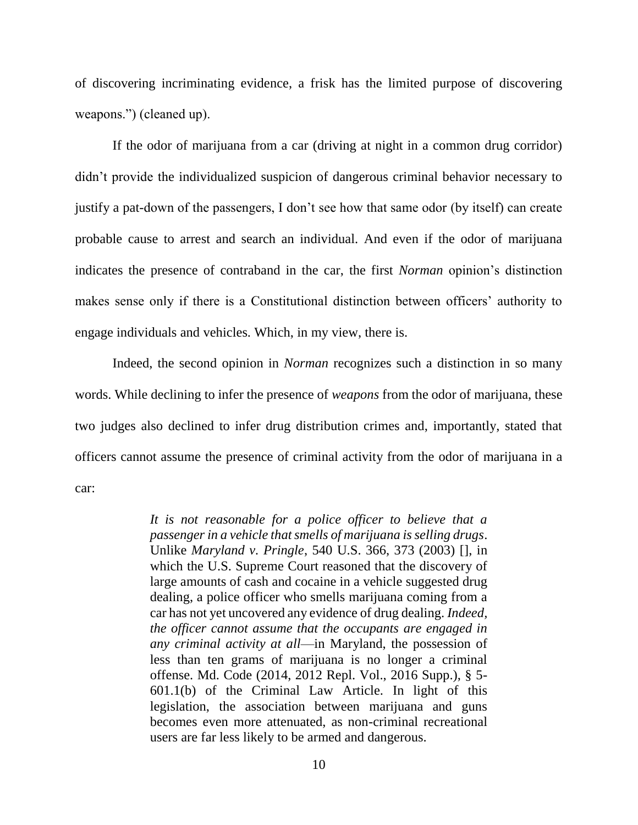of discovering incriminating evidence, a frisk has the limited purpose of discovering weapons.") (cleaned up).

If the odor of marijuana from a car (driving at night in a common drug corridor) didn't provide the individualized suspicion of dangerous criminal behavior necessary to justify a pat-down of the passengers, I don't see how that same odor (by itself) can create probable cause to arrest and search an individual. And even if the odor of marijuana indicates the presence of contraband in the car, the first *Norman* opinion's distinction makes sense only if there is a Constitutional distinction between officers' authority to engage individuals and vehicles. Which, in my view, there is.

Indeed, the second opinion in *Norman* recognizes such a distinction in so many words. While declining to infer the presence of *weapons* from the odor of marijuana, these two judges also declined to infer drug distribution crimes and, importantly, stated that officers cannot assume the presence of criminal activity from the odor of marijuana in a car:

> *It is not reasonable for a police officer to believe that a passenger in a vehicle that smells of marijuana is selling drugs*. Unlike *Maryland v. Pringle*, 540 U.S. 366, 373 (2003) [], in which the U.S. Supreme Court reasoned that the discovery of large amounts of cash and cocaine in a vehicle suggested drug dealing, a police officer who smells marijuana coming from a car has not yet uncovered any evidence of drug dealing. *Indeed, the officer cannot assume that the occupants are engaged in any criminal activity at all*—in Maryland, the possession of less than ten grams of marijuana is no longer a criminal offense. Md. Code (2014, 2012 Repl. Vol., 2016 Supp.), § 5- 601.1(b) of the Criminal Law Article. In light of this legislation, the association between marijuana and guns becomes even more attenuated, as non-criminal recreational users are far less likely to be armed and dangerous.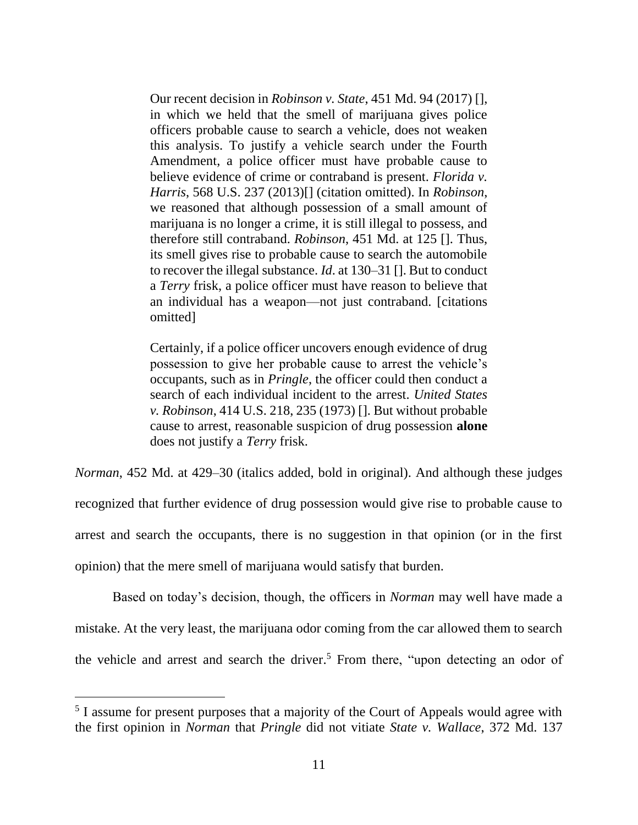Our recent decision in *Robinson v. State*, 451 Md. 94 (2017) [], in which we held that the smell of marijuana gives police officers probable cause to search a vehicle, does not weaken this analysis. To justify a vehicle search under the Fourth Amendment, a police officer must have probable cause to believe evidence of crime or contraband is present. *Florida v. Harris*, 568 U.S. 237 (2013)[] (citation omitted). In *Robinson*, we reasoned that although possession of a small amount of marijuana is no longer a crime, it is still illegal to possess, and therefore still contraband. *Robinson*, 451 Md. at 125 []. Thus, its smell gives rise to probable cause to search the automobile to recover the illegal substance. *Id*. at 130–31 []. But to conduct a *Terry* frisk, a police officer must have reason to believe that an individual has a weapon—not just contraband. [citations omitted]

Certainly, if a police officer uncovers enough evidence of drug possession to give her probable cause to arrest the vehicle's occupants, such as in *Pringle*, the officer could then conduct a search of each individual incident to the arrest. *United States v. Robin*s*on*, 414 U.S. 218, 235 (1973) []. But without probable cause to arrest, reasonable suspicion of drug possession **alone** does not justify a *Terry* frisk.

*Norman*, 452 Md. at 429–30 (italics added, bold in original). And although these judges recognized that further evidence of drug possession would give rise to probable cause to arrest and search the occupants, there is no suggestion in that opinion (or in the first opinion) that the mere smell of marijuana would satisfy that burden.

Based on today's decision, though, the officers in *Norman* may well have made a mistake. At the very least, the marijuana odor coming from the car allowed them to search the vehicle and arrest and search the driver.<sup>5</sup> From there, "upon detecting an odor of

<sup>&</sup>lt;sup>5</sup> I assume for present purposes that a majority of the Court of Appeals would agree with the first opinion in *Norman* that *Pringle* did not vitiate *State v. Wallace*, 372 Md. 137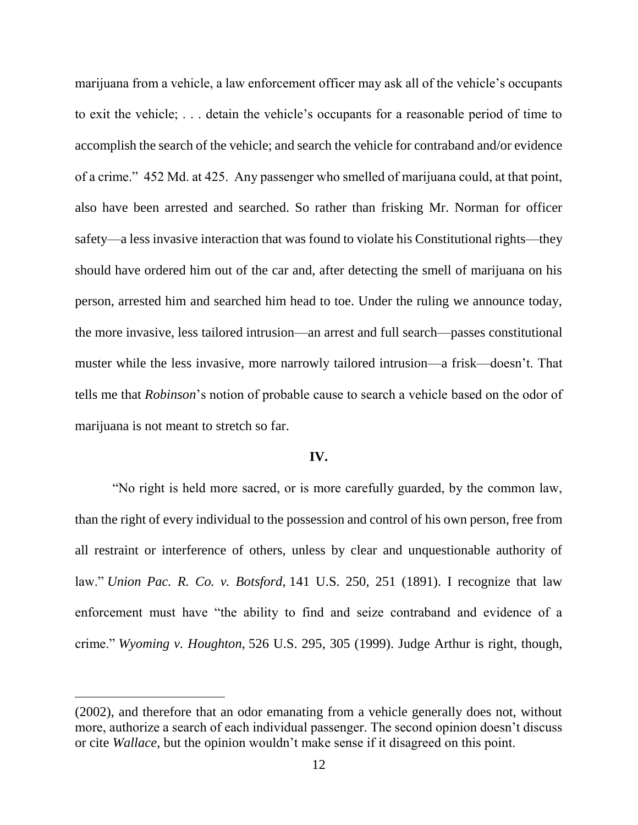marijuana from a vehicle, a law enforcement officer may ask all of the vehicle's occupants to exit the vehicle; . . . detain the vehicle's occupants for a reasonable period of time to accomplish the search of the vehicle; and search the vehicle for contraband and/or evidence of a crime." 452 Md. at 425. Any passenger who smelled of marijuana could, at that point, also have been arrested and searched. So rather than frisking Mr. Norman for officer safety—a less invasive interaction that was found to violate his Constitutional rights—they should have ordered him out of the car and, after detecting the smell of marijuana on his person, arrested him and searched him head to toe. Under the ruling we announce today, the more invasive, less tailored intrusion—an arrest and full search—passes constitutional muster while the less invasive, more narrowly tailored intrusion—a frisk—doesn't. That tells me that *Robinson*'s notion of probable cause to search a vehicle based on the odor of marijuana is not meant to stretch so far.

#### **IV.**

"No right is held more sacred, or is more carefully guarded, by the common law, than the right of every individual to the possession and control of his own person, free from all restraint or interference of others, unless by clear and unquestionable authority of law." *Union Pac. R. Co. v. Botsford*, 141 U.S. 250, 251 (1891). I recognize that law enforcement must have "the ability to find and seize contraband and evidence of a crime." *Wyoming v. Houghton*, 526 U.S. 295, 305 (1999). Judge Arthur is right, though,

<sup>(2002),</sup> and therefore that an odor emanating from a vehicle generally does not, without more, authorize a search of each individual passenger. The second opinion doesn't discuss or cite *Wallace*, but the opinion wouldn't make sense if it disagreed on this point.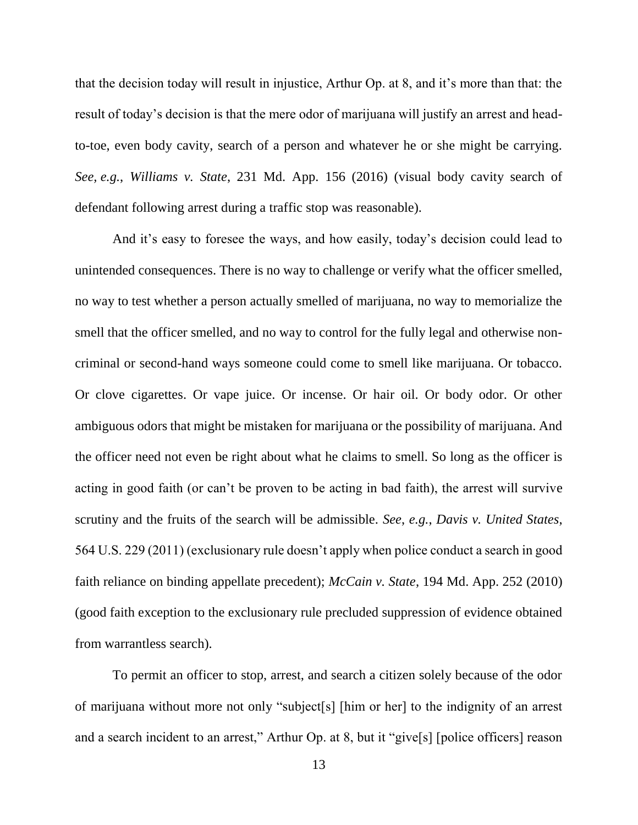that the decision today will result in injustice, Arthur Op. at 8, and it's more than that: the result of today's decision is that the mere odor of marijuana will justify an arrest and headto-toe, even body cavity, search of a person and whatever he or she might be carrying. *See, e.g.*, *Williams v. State*, 231 Md. App. 156 (2016) (visual body cavity search of defendant following arrest during a traffic stop was reasonable).

And it's easy to foresee the ways, and how easily, today's decision could lead to unintended consequences. There is no way to challenge or verify what the officer smelled, no way to test whether a person actually smelled of marijuana, no way to memorialize the smell that the officer smelled, and no way to control for the fully legal and otherwise noncriminal or second-hand ways someone could come to smell like marijuana. Or tobacco. Or clove cigarettes. Or vape juice. Or incense. Or hair oil. Or body odor. Or other ambiguous odors that might be mistaken for marijuana or the possibility of marijuana. And the officer need not even be right about what he claims to smell. So long as the officer is acting in good faith (or can't be proven to be acting in bad faith), the arrest will survive scrutiny and the fruits of the search will be admissible. *See*, *e.g.*, *Davis v. United States*, 564 U.S. 229 (2011) (exclusionary rule doesn't apply when police conduct a search in good faith reliance on binding appellate precedent); *McCain v. State*, 194 Md. App. 252 (2010) (good faith exception to the exclusionary rule precluded suppression of evidence obtained from warrantless search).

To permit an officer to stop, arrest, and search a citizen solely because of the odor of marijuana without more not only "subject[s] [him or her] to the indignity of an arrest and a search incident to an arrest," Arthur Op. at 8, but it "give[s] [police officers] reason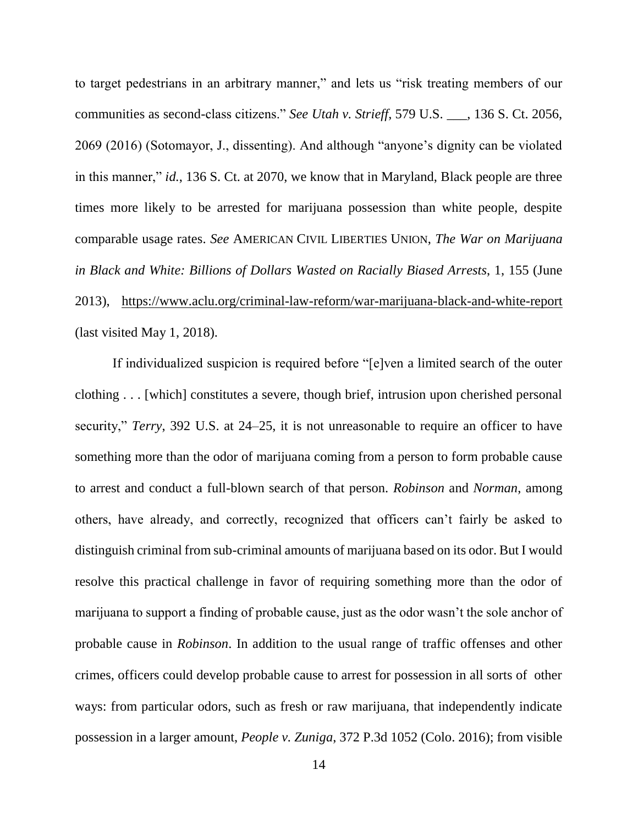to target pedestrians in an arbitrary manner," and lets us "risk treating members of our communities as second-class citizens." *See Utah v. Strieff*, 579 U.S. \_\_\_, 136 S. Ct. 2056, 2069 (2016) (Sotomayor, J., dissenting). And although "anyone's dignity can be violated in this manner," *id.*, 136 S. Ct. at 2070, we know that in Maryland, Black people are three times more likely to be arrested for marijuana possession than white people, despite comparable usage rates. *See* AMERICAN CIVIL LIBERTIES UNION, *The War on Marijuana in Black and White: Billions of Dollars Wasted on Racially Biased Arrests*, 1, 155 (June 2013), <https://www.aclu.org/criminal-law-reform/war-marijuana-black-and-white-report> (last visited May 1, 2018).

If individualized suspicion is required before "[e]ven a limited search of the outer clothing . . . [which] constitutes a severe, though brief, intrusion upon cherished personal security," *Terry*, 392 U.S. at 24–25, it is not unreasonable to require an officer to have something more than the odor of marijuana coming from a person to form probable cause to arrest and conduct a full-blown search of that person. *Robinson* and *Norman*, among others, have already, and correctly, recognized that officers can't fairly be asked to distinguish criminal from sub-criminal amounts of marijuana based on its odor. But I would resolve this practical challenge in favor of requiring something more than the odor of marijuana to support a finding of probable cause, just as the odor wasn't the sole anchor of probable cause in *Robinson*. In addition to the usual range of traffic offenses and other crimes, officers could develop probable cause to arrest for possession in all sorts of other ways: from particular odors, such as fresh or raw marijuana, that independently indicate possession in a larger amount, *People v. Zuniga*, 372 P.3d 1052 (Colo. 2016); from visible